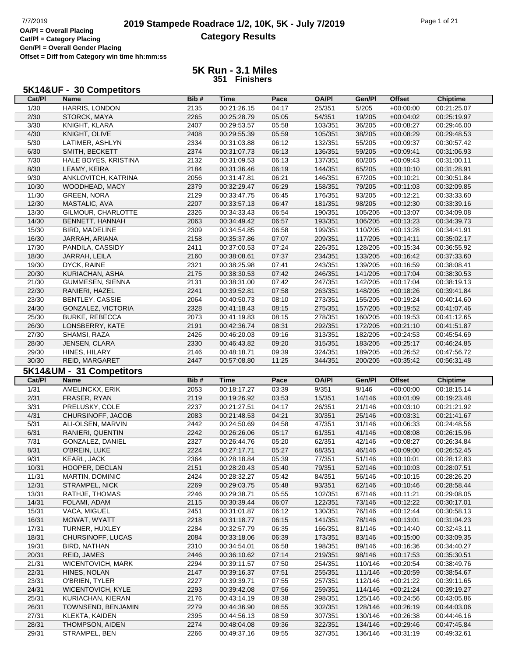## **2019 Stampede Roadrace 1/2, 10K, 5K - July 7/2019** Page 1 of 21<br> **DAPI** = Overall Placing **2019 Stampede Roadrace 1/2, 10K, 5K - July 7/2019 Category Results**

**Cat/Pl = Category Placing Gen/Pl = Overall Gender Placing Offset = Diff from Category win time hh:mm:ss**

#### **5K Run - 3.1 Miles 351 Finishers**

#### **5K14&UF - 30 Competitors**

| Cat/PI         | Name                     | Bib# | Time        | Pace  | OA/PI        | Gen/Pl  | <b>Offset</b> | <b>Chiptime</b> |
|----------------|--------------------------|------|-------------|-------|--------------|---------|---------------|-----------------|
| 1/30           | HARRIS, LONDON           | 2135 | 00:21:26.15 | 04:17 | 25/351       | 5/205   | $+00:00:00$   | 00:21:25.07     |
| 2/30           | STORCK, MAYA             | 2265 | 00:25:28.79 | 05:05 | 54/351       | 19/205  | $+00:04:02$   | 00:25:19.97     |
| $\frac{3}{30}$ | KNIGHT, KLARA            | 2407 | 00:29:53.57 | 05:58 | 103/351      | 36/205  | $+00:08:27$   | 00:29:46.00     |
| 4/30           | KNIGHT, OLIVE            | 2408 | 00:29:55.39 | 05:59 | 105/351      | 38/205  | $+00:08:29$   | 00:29:48.53     |
| 5/30           | LATIMER, ASHLYN          | 2334 | 00:31:03.88 | 06:12 | 132/351      | 55/205  | $+00:09:37$   | 00:30:57.42     |
| 6/30           | SMITH, BECKETT           | 2374 | 00:31:07.73 | 06:13 | 136/351      | 59/205  | $+00:09:41$   | 00:31:06.93     |
| 7/30           | HALE BOYES, KRISTINA     | 2132 | 00:31:09.53 | 06:13 | 137/351      | 60/205  | $+00:09:43$   | 00:31:00.11     |
| 8/30           | LEAMY, KEIRA             | 2184 | 00:31:36.46 | 06:19 | 144/351      | 65/205  | $+00:10:10$   | 00:31:28.91     |
| 9/30           | ANKLOVITCH, KATRINA      | 2056 | 00:31:47.81 | 06:21 | 146/351      | 67/205  | $+00:10:21$   | 00:30:51.84     |
| 10/30          | WOODHEAD, MACY           | 2379 | 00:32:29.47 | 06:29 | 158/351      | 79/205  | $+00:11:03$   | 00:32:09.85     |
| 11/30          | <b>GREEN, NORA</b>       | 2129 | 00:33:47.75 | 06:45 | 176/351      | 93/205  | $+00:12:21$   | 00:33:33.60     |
| 12/30          | MASTALIC, AVA            |      |             |       |              |         |               |                 |
|                |                          | 2207 | 00:33:57.13 | 06:47 | 181/351      | 98/205  | $+00:12:30$   | 00:33:39.16     |
| 13/30          | GILMOUR, CHARLOTTE       | 2326 | 00:34:33.43 | 06:54 | 190/351      | 105/205 | $+00:13:07$   | 00:34:09.08     |
| 14/30          | BENNETT, HANNAH          | 2063 | 00:34:49.42 | 06:57 | 193/351      | 106/205 | $+00:13:23$   | 00:34:39.73     |
| 15/30          | BIRD, MADELINE           | 2309 | 00:34:54.85 | 06:58 | 199/351      | 110/205 | $+00:13:28$   | 00:34:41.91     |
| 16/30          | JARRAH, ARIANA           | 2158 | 00:35:37.86 | 07:07 | 209/351      | 117/205 | $+00:14:11$   | 00:35:02.17     |
| 17/30          | PANDILA, CASSIDY         | 2411 | 00:37:00.53 | 07:24 | 226/351      | 128/205 | $+00:15:34$   | 00:36:55.92     |
| 18/30          | JARRAH, LEILA            | 2160 | 00:38:08.61 | 07:37 | 234/351      | 133/205 | $+00:16:42$   | 00:37:33.60     |
| 19/30          | DYCK, RAINE              | 2321 | 00:38:25.98 | 07:41 | 243/351      | 139/205 | $+00:16:59$   | 00:38:08.41     |
| 20/30          | KURIACHAN, ASHA          | 2175 | 00:38:30.53 | 07:42 | 246/351      | 141/205 | $+00.17.04$   | 00:38:30.53     |
| 21/30          | <b>GUMMESEN, SIENNA</b>  | 2131 | 00:38:31.00 | 07:42 | 247/351      | 142/205 | $+00:17:04$   | 00:38:19.13     |
| 22/30          | RANIERI, HAZEL           | 2241 | 00:39:52.81 | 07:58 | 263/351      | 148/205 | $+00:18:26$   | 00:39:41.84     |
| 23/30          | <b>BENTLEY, CASSIE</b>   | 2064 | 00:40:50.73 | 08:10 | 273/351      | 155/205 | $+00:19:24$   | 00:40:14.60     |
| 24/30          | GONZALEZ, VICTORIA       | 2328 | 00:41:18.43 | 08:15 | 275/351      | 157/205 | $+00:19:52$   | 00:41:07.46     |
| 25/30          | <b>BURKE, REBECCA</b>    | 2073 | 00:41:19.83 | 08:15 | 278/351      | 160/205 | $+00:19:53$   | 00:41:12.65     |
| 26/30          | LONSBERRY, KATE          | 2191 | 00:42:36.74 | 08:31 | 292/351      | 172/205 | $+00:21:10$   | 00:41:51.87     |
| 27/30          | SHAMSI, RAZA             | 2426 | 00:46:20.03 | 09:16 | 313/351      | 182/205 | $+00:24:53$   | 00:45:54.69     |
| 28/30          | JENSEN, CLARA            | 2330 | 00:46:43.82 | 09:20 | 315/351      | 183/205 | $+00:25:17$   | 00:46:24.85     |
| 29/30          | HINES, HILARY            | 2146 | 00:48:18.71 | 09:39 | 324/351      | 189/205 | $+00:26:52$   | 00:47:56.72     |
| 30/30          | REID, MARGARET           | 2447 | 00:57:08.80 | 11:25 | 344/351      | 200/205 | $+00:35:42$   | 00:56:31.48     |
|                |                          |      |             |       |              |         |               |                 |
|                |                          |      |             |       |              |         |               |                 |
|                | 5K14&UM - 31 Competitors |      |             |       |              |         |               |                 |
| Cat/PI         | <b>Name</b>              | Bib# | <b>Time</b> | Pace  | <b>OA/PI</b> | Gen/Pl  | <b>Offset</b> | <b>Chiptime</b> |
| 1/31           | AMELINCKX, ERIK          | 2053 | 00:18:17.27 | 03:39 | 9/351        | 9/146   | $+00:00:00$   | 00:18:15.14     |
| 2/31           | FRASER, RYAN             | 2119 | 00:19:26.92 | 03:53 | 15/351       | 14/146  | $+00:01:09$   | 00:19:23.48     |
| 3/31           | PRELUSKY, COLE           | 2237 | 00:21:27.51 | 04:17 | 26/351       | 21/146  | $+00:03:10$   | 00:21:21.92     |
| 4/31           | CHURSINOFF, JACOB        | 2083 | 00:21:48.53 | 04:21 | 30/351       | 25/146  | $+00:03:31$   | 00:21:41.67     |
| 5/31           | ALI-OLSEN, MARVIN        | 2442 | 00:24:50.69 | 04:58 | 47/351       | 31/146  | $+00:06:33$   | 00:24:48.56     |
| 6/31           | RANIERI, QUENTIN         | 2242 | 00:26:26.06 | 05:17 | 61/351       | 41/146  | $+00:08:08$   | 00:26:15.96     |
| 7/31           | GONZALEZ, DANIEL         | 2327 | 00:26:44.76 | 05:20 | 62/351       | 42/146  | $+00:08:27$   | 00:26:34.84     |
| 8/31           | O'BREIN, LUKE            | 2224 | 00:27:17.71 | 05:27 | 68/351       | 46/146  | $+00:09:00$   | 00:26:52.45     |
| 9/31           | <b>KEARL, JACK</b>       | 2364 | 00:28:18.84 | 05:39 | 77/351       | 51/146  | $+00:10:01$   | 00:28:12.83     |
| 10/31          | HOOPER, DECLAN           | 2151 | 00:28:20.43 | 05:40 | 79/351       | 52/146  | $+00:10:03$   | 00:28:07.51     |
| 11/31          | MARTIN, DOMINIC          | 2424 | 00:28:32.27 | 05:42 | 84/351       | 56/146  | $+00:10:15$   | 00:28:26.20     |
| 12/31          | <b>STRAMPEL, NICK</b>    | 2269 | 00:29:03.75 | 05:48 | 93/351       | 62/146  | $+00:10:46$   | 00:28:58.44     |
| 13/31          | RATHJE, THOMAS           | 2246 | 00:29:38.71 | 05:55 | 102/351      | 67/146  | $+00:11:21$   | 00:29:08.05     |
| 14/31          | FOLAMI, ADAM             | 2115 | 00:30:39.44 | 06:07 | 122/351      | 73/146  | $+00:12:22$   | 00:30:17.01     |
| 15/31          | VACA, MIGUEL             | 2451 | 00:31:01.87 | 06:12 | 130/351      | 76/146  | $+00:12:44$   | 00:30:58.13     |
| 16/31          | MOWAT, WYATT             | 2218 | 00:31:18.77 | 06:15 | 141/351      | 78/146  | $+00:13:01$   | 00:31:04.23     |
| 17/31          | TURNER, HUXLEY           | 2284 | 00:32:57.79 | 06:35 | 166/351      | 81/146  | $+00:14:40$   | 00:32:43.11     |
| 18/31          | CHURSINOFF, LUCAS        | 2084 | 00:33:18.06 | 06:39 | 173/351      | 83/146  | $+00:15:00$   | 00:33:09.35     |
| 19/31          | BIRD, NATHAN             | 2310 | 00:34:54.01 | 06:58 | 198/351      | 89/146  | $+00:16:36$   | 00:34:40.27     |
| 20/31          | REID, JAMES              | 2446 | 00:36:10.62 | 07:14 | 219/351      | 98/146  | $+00:17:53$   | 00:35:30.51     |
| 21/31          | WICENTOVICH, MARK        | 2294 | 00:39:11.57 | 07:50 | 254/351      | 110/146 | $+00:20:54$   | 00:38:49.76     |
| 22/31          | HINES, NOLAN             | 2147 | 00:39:16.37 | 07:51 | 255/351      | 111/146 | $+00:20:59$   | 00:38:54.67     |
| 23/31          | O'BRIEN, TYLER           | 2227 | 00:39:39.71 | 07:55 | 257/351      | 112/146 | $+00:21:22$   | 00:39:11.65     |
| 24/31          | WICENTOVICH, KYLE        | 2293 | 00:39:42.08 | 07:56 | 259/351      | 114/146 | $+00:21:24$   | 00:39:19.27     |
| 25/31          | KURIACHAN, KIERAN        | 2176 | 00:43:14.19 | 08:38 | 298/351      | 125/146 | $+00:24:56$   | 00:43:05.86     |
| 26/31          | TOWNSEND, BENJAMIN       | 2279 | 00:44:36.90 | 08:55 | 302/351      | 128/146 | $+00:26:19$   | 00:44:03.06     |
| 27/31          | KLEKTA, KAIDEN           | 2395 | 00:44:56.13 | 08:59 | 307/351      | 130/146 | $+00:26:38$   | 00:44:46.16     |
| 28/31<br>29/31 | THOMPSON, AIDEN          | 2274 | 00:48:04.08 | 09:36 | 322/351      | 134/146 | $+00:29:46$   | 00:47:45.84     |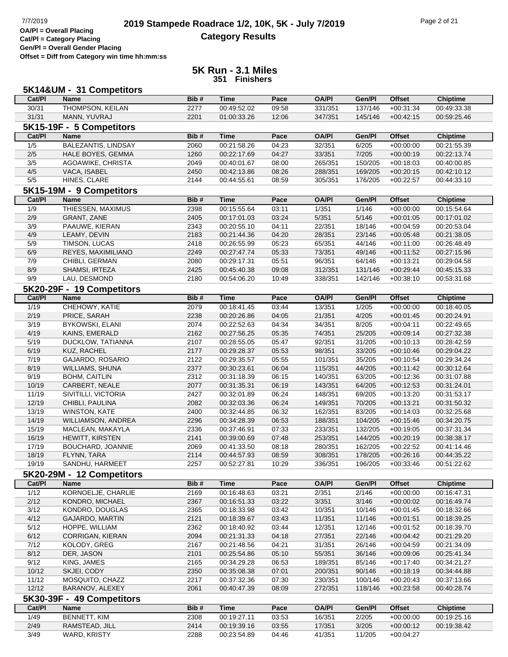# **2019 Stampede Roadrace 1/2, 10K, 5K - July 7/2019** Page 2 of 21<br> **2019 Stampede Roadrace 1/2, 10K, 5K - July 7/2019 Category Results**

**Cat/Pl = Category Placing Gen/Pl = Overall Gender Placing**

**Offset = Diff from Category win time hh:mm:ss**

|                | 5K14&UM - 31 Competitors   |      |             |       |              |         |               |                 |
|----------------|----------------------------|------|-------------|-------|--------------|---------|---------------|-----------------|
| Cat/PI         | <b>Name</b>                | Bib# | Time        | Pace  | <b>OA/PI</b> | Gen/Pl  | <b>Offset</b> | <b>Chiptime</b> |
| 30/31          | <b>THOMPSON, KEILAN</b>    | 2277 | 00:49:52.02 | 09:58 | 331/351      | 137/146 | $+00:31:34$   | 00:49:33.38     |
| 31/31          | MANN, YUVRAJ               | 2201 | 01:00:33.26 | 12:06 | 347/351      | 145/146 | $+00:42:15$   | 00:59:25.46     |
|                | 5K15-19F - 5 Competitors   |      |             |       |              |         |               |                 |
| Cat/Pl         | <b>Name</b>                | Bib# | <b>Time</b> | Pace  | <b>OA/PI</b> | Gen/Pl  | <b>Offset</b> | <b>Chiptime</b> |
| 1/5            | <b>BALEZANTIS, LINDSAY</b> | 2060 | 00:21:58.26 | 04:23 | 32/351       | 6/205   | $+00:00:00$   | 00:21:55.39     |
| 2/5            | HALE BOYES, GEMMA          | 1260 | 00:22:17.69 | 04:27 | 33/351       | 7/205   | $+00:00:19$   | 00:22:13.74     |
| 3/5            | AGOAWIKE, CHRISTA          | 2049 | 00:40:01.67 | 08:00 | 265/351      | 150/205 | $+00:18:03$   | 00:40:00.85     |
| 4/5            | VACA, ISABEL               | 2450 | 00:42:13.86 | 08:26 | 288/351      | 169/205 | $+00:20:15$   | 00:42:10.12     |
| 5/5            | HINES, CLARE               | 2144 | 00:44:55.61 | 08:59 | 305/351      | 176/205 | $+00:22:57$   | 00:44:33.10     |
|                | 5K15-19M - 9 Competitors   |      |             |       |              |         |               |                 |
| Cat/PI         | <b>Name</b>                | Bib# | <b>Time</b> | Pace  | <b>OA/PI</b> | Gen/Pl  | <b>Offset</b> | <b>Chiptime</b> |
| 1/9            | THIESSEN, MAXIMUS          | 2398 | 00:15:55.64 | 03:11 | 1/351        | 1/146   | $+00:00:00$   | 00:15:54.64     |
| 2/9            | GRANT, ZANE                | 2405 | 00:17:01.03 | 03:24 | 5/351        | 5/146   | $+00:01:05$   | 00:17:01.02     |
| 3/9            | PAAUWE, KIERAN             | 2343 | 00:20:55.10 | 04:11 | 22/351       | 18/146  | $+00:04:59$   | 00:20:53.04     |
| 4/9            | LEAMY, DEVIN               | 2183 | 00:21:44.36 | 04:20 | 28/351       | 23/146  | $+00:05:48$   | 00:21:38.05     |
| 5/9            | TIMSON, LUCAS              | 2418 | 00:26:55.99 | 05:23 | 65/351       | 44/146  | $+00:11:00$   | 00:26:48.49     |
| 6/9            | REYES, MAXIMILIANO         | 2249 | 00:27:47.74 | 05:33 | 73/351       | 49/146  | $+00:11:52$   | 00:27:15.96     |
| 7/9            | CHIBLI, GERMAN             | 2080 | 00:29:17.31 | 05:51 | 96/351       | 64/146  | $+00:13:21$   | 00:29:04.58     |
| 8/9            | SHAMSI, IRTEZA             | 2425 | 00:45:40.38 | 09:08 | 312/351      | 131/146 | $+00:29:44$   | 00:45:15.33     |
| 9/9            | LAU, DESMOND               | 2180 | 00:54:06.20 | 10:49 | 338/351      | 142/146 | $+00:38:10$   | 00:53:31.68     |
|                | 5K20-29F - 19 Competitors  |      |             |       |              |         |               |                 |
| Cat/PI         | <b>Name</b>                | Bib# | <b>Time</b> | Pace  | <b>OA/PI</b> | Gen/Pl  | <b>Offset</b> | <b>Chiptime</b> |
| 1/19           | CHEHOWY, KATIE             | 2079 | 00:18:41.45 | 03:44 | 13/351       | 1/205   | $+00:00:00$   | 00:18:40.05     |
| 2/19           | PRICE, SARAH               | 2238 | 00:20:26.86 | 04:05 | 21/351       | 4/205   | $+00:01:45$   | 00:20:24.91     |
| 3/19           | <b>BYKOWSKI, ELANI</b>     | 2074 | 00:22:52.63 | 04:34 | 34/351       | 8/205   | $+00:04:11$   | 00:22:49.65     |
| 4/19           | KAINS, EMERALD             | 2162 | 00:27:56.25 | 05:35 | 74/351       | 25/205  | $+00:09:14$   | 00:27:32.38     |
| 5/19           | DUCKLOW, TATIANNA          | 2107 | 00:28:55.05 | 05:47 | 92/351       | 31/205  | $+00:10:13$   | 00:28:42.59     |
| 6/19           | KUZ, RACHEL                | 2177 | 00:29:28.37 | 05:53 | 98/351       | 33/205  | $+00:10:46$   | 00:29:04.22     |
| 7/19           | GAJARDO, ROSARIO           | 2122 | 00:29:35.57 | 05:55 | 101/351      | 35/205  | $+00:10:54$   | 00:29:34.24     |
| 8/19           | <b>WILLIAMS, SHUNA</b>     | 2377 | 00:30:23.61 | 06:04 | 115/351      | 44/205  | $+00:11:42$   | 00:30:12.64     |
| 9/19           | <b>BOHM, CAITLIN</b>       | 2312 | 00:31:18.39 | 06:15 | 140/351      | 63/205  | $+00:12:36$   | 00:31:07.88     |
| 10/19          | CARBERT, NEALE             | 2077 | 00:31:35.31 | 06:19 | 143/351      | 64/205  | $+00:12:53$   | 00:31:24.01     |
| 11/19          | SIVITILLI, VICTORIA        | 2427 | 00:32:01.89 | 06:24 | 148/351      | 69/205  | $+00:13:20$   | 00:31:53.17     |
| 12/19          | CHIBLI, PAULINA            | 2082 | 00:32:03.36 | 06:24 | 149/351      | 70/205  | $+00:13:21$   | 00:31:50.32     |
| 13/19          | <b>WINSTON, KATE</b>       | 2400 | 00:32:44.85 | 06:32 | 162/351      | 83/205  | $+00:14:03$   | 00:32:25.68     |
| 14/19          | WILLIAMSON, ANDREA         | 2296 | 00:34:28.39 | 06:53 | 188/351      | 104/205 | $+00:15:46$   | 00:34:20.75     |
| 15/19          | MACLEAN, MAKAYLA           | 2336 | 00:37:46.91 | 07:33 | 233/351      | 132/205 | $+00:19:05$   | 00:37:31.34     |
| 16/19          | <b>HEWITT, KIRSTEN</b>     | 2141 | 00:39:00.69 | 07:48 | 253/351      | 144/205 | $+00:20:19$   | 00:38:38.17     |
| 17/19          | BOUCHARD, JOANNIE          | 2069 | 00:41:33.50 | 08:18 | 280/351      | 162/205 | $+00:22:52$   | 00:41:14.46     |
| 18/19          | FLYNN, TARA                | 2114 | 00:44:57.93 | 08:59 | 308/351      | 178/205 | $+00:26:16$   | 00:44:35.22     |
| 19/19          | SANDHU, HARMEET            | 2257 | 00:52:27.81 | 10:29 | 336/351      | 196/205 | $+00:33:46$   | 00:51:22.62     |
|                | 5K20-29M - 12 Competitors  |      |             |       |              |         |               |                 |
| Cat/PI         | <b>Name</b>                | Bib# | <b>Time</b> | Pace  | <b>OA/PI</b> | Gen/Pl  | <b>Offset</b> | <b>Chiptime</b> |
| 1/12           | KORNOELJE, CHARLIE         | 2169 | 00:16:48.63 | 03:21 | 2/351        | 2/146   | $+00:00:00$   | 00:16:47.31     |
| 2/12           | KONDRO, MICHAEL            | 2367 | 00:16:51.33 | 03:22 | 3/351        | 3/146   | $+00:00:02$   | 00:16:49.74     |
| 3/12           | KONDRO, DOUGLAS            | 2365 | 00:18:33.98 | 03:42 | 10/351       | 10/146  | $+00:01:45$   | 00:18:32.66     |
| 4/12           | GAJARDO, MARTIN            | 2121 | 00:18:39.67 | 03:43 | 11/351       | 11/146  | $+00:01:51$   | 00:18:39.25     |
| 5/12           | HOPPE, WILLIAM             | 2362 | 00:18:40.92 | 03:44 | 12/351       | 12/146  | $+00:01:52$   | 00:18:39.70     |
| 6/12           | CORRIGAN, KIERAN           | 2094 | 00:21:31.33 | 04:18 | 27/351       | 22/146  | $+00:04:42$   | 00:21:29.20     |
| 7/12           | KOLODY, GREG               | 2167 | 00:21:48.56 | 04:21 | 31/351       | 26/146  | $+00:04:59$   | 00:21:34.09     |
| 8/12           | DER, JASON                 | 2101 | 00:25:54.86 | 05:10 | 55/351       | 36/146  | $+00:09:06$   | 00:25:41.34     |
| 9/12           | KING, JAMES                | 2165 | 00:34:29.28 | 06:53 | 189/351      | 85/146  | $+00:17:40$   | 00:34:21.27     |
| 10/12          | SKJEI, CODY                | 2350 | 00:35:08.38 | 07:01 | 200/351      | 90/146  | $+00:18:19$   | 00:34:44.88     |
| 11/12          | MOSQUITO, CHAZZ            | 2217 | 00:37:32.36 | 07:30 | 230/351      | 100/146 | $+00:20:43$   | 00:37:13.66     |
| 12/12          | BARANOV, ALEXEY            | 2061 | 00:40:47.39 | 08:09 | 272/351      | 118/146 | $+00:23:58$   | 00:40:28.74     |
|                | 5K30-39F - 49 Competitors  |      |             |       |              |         |               |                 |
| Cat/PI         | Name                       | Bib# | <b>Time</b> | Pace  | <b>OA/PI</b> | Gen/Pl  | <b>Offset</b> | <b>Chiptime</b> |
| 1/49           | BENNETT, KIM               | 2308 | 00:19:27.11 | 03:53 | 16/351       | 2/205   | $+00:00:00$   | 00:19:25.16     |
| 2/49           | RAMSTEAD, JILL             | 2414 | 00:19:39.16 | 03:55 | 17/351       | 3/205   | $+00:00:12$   | 00:19:38.42     |
| $\frac{3}{49}$ | WARD, KRISTY               | 2288 | 00:23:54.89 | 04:46 | 41/351       | 11/205  | $+00:04:27$   |                 |
|                |                            |      |             |       |              |         |               |                 |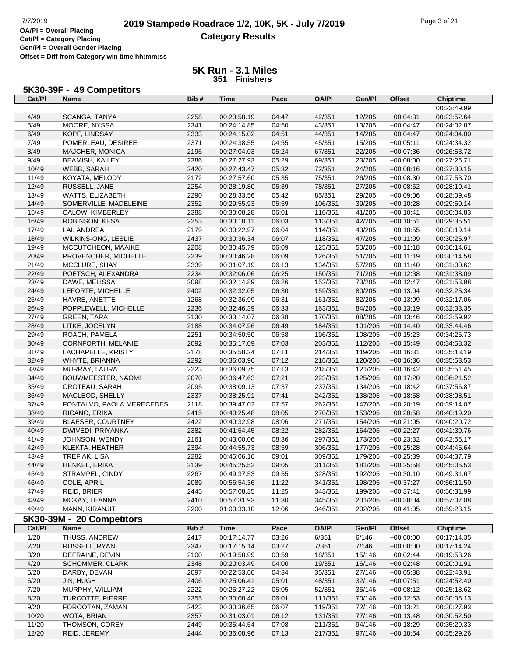## **2019 Stampede Roadrace 1/2, 10K, 5K - July 7/2019** Page 3 of 21<br> **DAPI** = Overall Placing **2019 Stampede Roadrace 1/2, 10K, 5K - July 7/2019 Category Results**

**Cat/Pl = Category Placing Gen/Pl = Overall Gender Placing**

**Offset = Diff from Category win time hh:mm:ss**

| Cat/PI | 5K30-39F - 49 Competitors<br><b>Name</b> | Bib# | <b>Time</b> | Pace  | <b>OA/PI</b> | Gen/Pl  | <b>Offset</b> | <b>Chiptime</b> |
|--------|------------------------------------------|------|-------------|-------|--------------|---------|---------------|-----------------|
|        |                                          |      |             |       |              |         |               | 00:23:49.99     |
| 4/49   | SCANGA, TANYA                            | 2258 | 00:23:58.19 | 04:47 | 42/351       | 12/205  | $+00:04:31$   | 00:23:52.64     |
| 5/49   | MOORE, NYSSA                             | 2341 | 00:24:14.85 | 04:50 | 43/351       | 13/205  | $+00.04:47$   | 00:24:02.87     |
| 6/49   | KOPF, LINDSAY                            | 2333 | 00:24:15.02 | 04:51 | 44/351       | 14/205  | $+00:04:47$   | 00:24:04.00     |
| 7/49   | POMERLEAU, DESIREE                       | 2371 | 00:24:38.55 | 04:55 | 45/351       | 15/205  | $+00:05:11$   | 00:24:34.32     |
| 8/49   | MAJCHER, MONICA                          | 2195 | 00:27:04.03 | 05:24 | 67/351       | 22/205  | $+00:07:36$   | 00:26:53.72     |
| 9/49   | <b>BEAMISH, KAILEY</b>                   | 2386 | 00:27:27.93 | 05:29 | 69/351       | 23/205  | $+00:08:00$   | 00:27:25.71     |
| 10/49  | WEBB, SARAH                              | 2420 | 00:27:43.47 | 05:32 | 72/351       | 24/205  | $+00.08:16$   | 00:27:30.15     |
| 11/49  | KOYATA, MELODY                           | 2172 | 00:27:57.60 | 05:35 | 75/351       | 26/205  | $+00:08:30$   | 00:27:53.70     |
| 12/49  | RUSSELL, JANE                            | 2254 | 00:28:19.80 | 05:39 | 78/351       | 27/205  | $+00:08:52$   | 00:28:10.41     |
| 13/49  | WATTS, ELIZABETH                         | 2290 | 00:28:33.56 | 05:42 | 85/351       | 29/205  | $+00:09:06$   | 00:28:09.48     |
| 14/49  | SOMERVILLE, MADELEINE                    | 2352 | 00:29:55.93 | 05:59 | 106/351      | 39/205  | $+00:10:28$   | 00:29:50.14     |
| 15/49  | CALOW, KIMBERLEY                         | 2388 | 00:30:08.28 | 06:01 | 110/351      | 41/205  | $+00:10:41$   | 00:30:04.83     |
| 16/49  | ROBINSON, KESA                           | 2253 | 00:30:18.11 | 06:03 | 113/351      | 42/205  | $+00:10:51$   | 00:29:35.51     |
| 17/49  | LAI, ANDREA                              | 2179 | 00:30:22.97 | 06:04 | 114/351      | 43/205  | $+00:10:55$   | 00:30:19.14     |
| 18/49  | WILKINS-ONG, LESLIE                      | 2437 | 00:30:36.34 | 06:07 | 118/351      | 47/205  | $+00:11:09$   | 00:30:25.97     |
| 19/49  | MCCUTCHEON, MAAIKE                       | 2208 | 00:30:45.79 | 06:09 | 125/351      | 50/205  | $+00:11:18$   | 00:30:14.61     |
| 20/49  | PROVENCHER, MICHELLE                     | 2239 | 00:30:46.28 | 06:09 | 126/351      | 51/205  | $+00:11:19$   | 00:30:14.58     |
| 21/49  | MCCLURE, SHAY                            | 2339 | 00:31:07.19 | 06:13 | 134/351      | 57/205  | $+00:11:40$   | 00:31:00.62     |
| 22/49  | POETSCH, ALEXANDRA                       | 2234 | 00:32:06.06 | 06:25 | 150/351      | 71/205  | $+00:12:38$   | 00:31:38.09     |
| 23/49  | DAWE, MELISSA                            | 2098 | 00:32:14.89 | 06:26 | 152/351      | 73/205  | $+00:12:47$   | 00:31:53.98     |
| 24/49  | LEFORTE, MICHELLE                        | 2402 | 00:32:32.05 | 06:30 | 159/351      | 80/205  | $+00:13:04$   | 00:32:25.34     |
| 25/49  | HAVRE, ANETTE                            | 1268 | 00:32:36.99 | 06:31 | 161/351      | 82/205  | $+00:13:09$   | 00:32:17.06     |
| 26/49  | POPPLEWELL, MICHELLE                     | 2236 | 00:32:46.39 | 06:33 | 163/351      | 84/205  | $+00:13:19$   | 00:32:33.35     |
| 27/49  | <b>GREEN, TARA</b>                       | 2130 | 00:33:14.07 | 06:38 | 170/351      | 88/205  | $+00:13:46$   | 00:32:59.92     |
| 28/49  | LITKE, JOCELYN                           | 2188 | 00:34:07.96 | 06:49 | 184/351      | 101/205 | $+00:14:40$   | 00:33:44.46     |
| 29/49  | ROACH, PAMELA                            | 2251 | 00:34:50.50 | 06:58 | 196/351      | 108/205 | $+00:15:23$   | 00:34:25.73     |
| 30/49  | CORNFORTH, MELANIE                       | 2092 | 00:35:17.09 | 07:03 | 203/351      | 112/205 | $+00:15:49$   | 00:34:58.32     |
| 31/49  | LACHAPELLE, KRISTY                       | 2178 | 00:35:58.24 | 07:11 | 214/351      | 119/205 | $+00:16:31$   | 00:35:13.19     |
| 32/49  | WHYTE, BRIANNA                           | 2292 | 00:36:03.96 | 07:12 | 216/351      | 120/205 | $+00:16:36$   | 00:35:53.53     |
| 33/49  | MURRAY, LAURA                            | 2223 | 00:36:09.75 | 07:13 | 218/351      | 121/205 | $+00:16:42$   | 00:35:51.45     |
| 34/49  | BOUWMEESTER, NAOMI                       | 2070 | 00:36:47.63 | 07:21 | 223/351      | 125/205 | $+00:17:20$   | 00:36:21.52     |
| 35/49  | CROTEAU, SARAH                           | 2095 | 00:38:09.13 | 07:37 | 237/351      | 134/205 | $+00:18:42$   | 00:37:56.87     |
| 36/49  | MACLEOD, SHELLY                          | 2337 | 00:38:25.91 | 07:41 | 242/351      | 138/205 | $+00:18:58$   | 00:38:08.51     |
| 37/49  | FONTALVO, PAOLA MERECEDES                | 2118 | 00:39:47.02 | 07:57 | 262/351      | 147/205 | $+00:20:19$   | 00:39:14.07     |
| 38/49  | RICANO, ERIKA                            | 2415 | 00:40:25.48 | 08:05 | 270/351      | 153/205 | $+00:20:58$   | 00:40:19.20     |
| 39/49  | BLAESER, COURTNEY                        | 2422 | 00:40:32.98 | 08:06 | 271/351      | 154/205 | $+00:21:05$   | 00:40:20.72     |
| 40/49  | DWIVEDI, PRIYANKA                        | 2382 | 00:41:54.45 | 08:22 | 282/351      | 164/205 | $+00:22:27$   | 00:41:30.76     |
| 41/49  | JOHNSON, WENDY                           | 2161 | 00:43:00.06 | 08:36 | 297/351      | 173/205 | $+00:23:32$   | 00:42:55.17     |
| 42/49  | KLEKTA, HEATHER                          | 2394 | 00:44:55.73 | 08:59 | 306/351      | 177/205 | $+00:25:28$   | 00:44:45.64     |
| 43/49  | TREFIAK, LISA                            | 2282 | 00:45:06.16 | 09:01 | 309/351      | 179/205 | $+00:25:39$   | 00:44:37.79     |
| 44/49  | HENKEL, ERIKA                            | 2139 | 00:45:25.52 | 09:05 | 311/351      | 181/205 | $+00:25:58$   | 00:45:05.53     |
| 45/49  | STRAMPEL, CINDY                          | 2267 | 00:49:37.53 | 09:55 | 328/351      | 192/205 | $+00:30:10$   | 00:49:31.67     |
| 46/49  | COLE, APRIL                              | 2089 | 00:56:54.36 | 11:22 | 341/351      | 198/205 | $+00:37:27$   | 00:56:11.50     |
| 47/49  | REID, BRIER                              | 2445 | 00:57:08.35 | 11:25 | 343/351      | 199/205 | $+00:37:41$   | 00:56:31.99     |
| 48/49  | MCKAY, LEANNA                            | 2410 | 00:57:31.93 | 11:30 | 345/351      | 201/205 | $+00:38:04$   | 00:57:07.08     |
| 49/49  | MANN, KIRANJIT                           | 2200 | 01:00:33.10 | 12:06 | 346/351      | 202/205 | $+00:41:05$   | 00:59:23.15     |
|        | 5K30-39M - 20 Competitors                |      |             |       |              |         |               |                 |
| Cat/PI | Name                                     | Bib# | <b>Time</b> | Pace  | <b>OA/PI</b> | Gen/Pl  | <b>Offset</b> | <b>Chiptime</b> |
| 1/20   | THUSS, ANDREW                            | 2417 | 00:17:14.77 | 03:26 | 6/351        | 6/146   | $+00:00:00$   | 00:17:14.35     |
| 2/20   | RUSSELL, RYAN                            | 2347 | 00:17:15.14 | 03:27 | 7/351        | 7/146   | $+00:00:00$   | 00:17:14.24     |
| 3/20   | DEFRAINE, DEVIN                          | 2100 | 00:19:58.99 | 03:59 | 18/351       | 15/146  | $+00:02:44$   | 00:19:58.26     |
| 4/20   | <b>SCHOMMER, CLARK</b>                   | 2348 | 00:20:03.49 | 04:00 | 19/351       | 16/146  | $+00:02:48$   | 00:20:01.91     |
| $5/20$ | DARBY, DEVAN                             | 2097 | 00:22:53.60 | 04:34 | 35/351       | 27/146  | $+00:05:38$   | 00:22:43.91     |
| 6/20   | JIN, HUGH                                | 2406 | 00:25:06.41 | 05:01 | 48/351       | 32/146  | $+00:07:51$   | 00:24:52.40     |
| 7/20   | MURPHY, WILLIAM                          | 2222 | 00:25:27.22 | 05:05 | 52/351       | 35/146  | $+00:08:12$   | 00:25:18.62     |
| 8/20   | TURCOTTE, PIERRE                         | 2355 | 00:30:08.40 | 06:01 | 111/351      | 70/146  | $+00:12:53$   | 00:30:05.13     |
| 9/20   | FOROOTAN, ZAMAN                          | 2423 | 00:30:36.65 | 06:07 | 119/351      | 72/146  | $+00:13:21$   | 00:30:27.93     |
| 10/20  | WOTA, BRIAN                              | 2357 | 00:31:03.01 | 06:12 | 131/351      | 77/146  | $+00:13:48$   | 00:30:52.50     |
| 11/20  | THOMSON, COREY                           | 2449 | 00:35:44.54 | 07:08 | 211/351      | 94/146  | $+00:18:29$   | 00:35:29.33     |
| 12/20  | REID, JEREMY                             | 2444 | 00:36:08.96 | 07:13 | 217/351      | 97/146  | $+00:18:54$   | 00:35:29.26     |
|        |                                          |      |             |       |              |         |               |                 |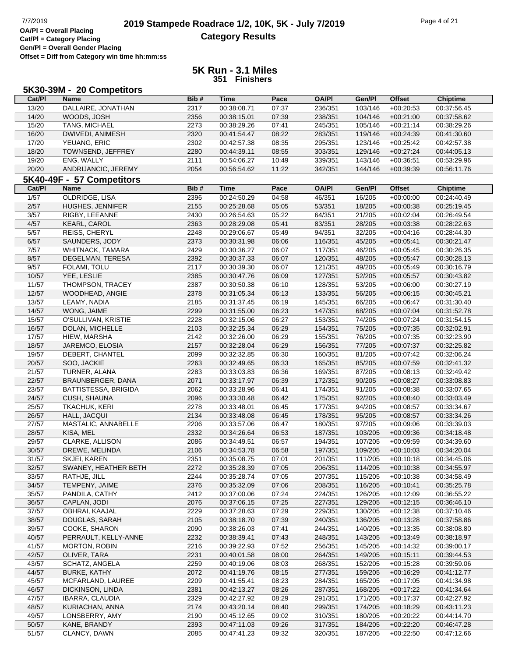**Cat/Pl = Category Placing Gen/Pl = Overall Gender Placing Offset = Diff from Category win time hh:mm:ss**

|        | 5K30-39M - 20 Competitors   |      |             |       |              |         |               |                 |
|--------|-----------------------------|------|-------------|-------|--------------|---------|---------------|-----------------|
| Cat/PI | <b>Name</b>                 | Bib# | <b>Time</b> | Pace  | <b>OA/PI</b> | Gen/Pl  | <b>Offset</b> | <b>Chiptime</b> |
| 13/20  | DALLAIRE, JONATHAN          | 2317 | 00:38:08.71 | 07:37 | 236/351      | 103/146 | $+00:20:53$   | 00:37:56.45     |
| 14/20  | WOODS, JOSH                 | 2356 | 00:38:15.01 | 07:39 | 238/351      | 104/146 | $+00:21:00$   | 00:37:58.62     |
| 15/20  | TANG, MICHAEL               | 2273 | 00:38:29.26 | 07:41 | 245/351      | 105/146 | $+00:21:14$   | 00:38:29.26     |
| 16/20  | DWIVEDI, ANIMESH            | 2320 | 00:41:54.47 | 08:22 | 283/351      | 119/146 | $+00:24:39$   | 00:41:30.60     |
| 17/20  | YEUANG, ERIC                | 2302 | 00:42:57.38 | 08:35 | 295/351      | 123/146 | $+00:25:42$   | 00:42:57.38     |
| 18/20  | TOWNSEND, JEFFREY           | 2280 | 00:44:39.11 | 08:55 | 303/351      | 129/146 | $+00:27:24$   | 00:44:05.13     |
| 19/20  | ENG, WALLY                  | 2111 | 00:54:06.27 | 10:49 | 339/351      | 143/146 | $+00:36:51$   | 00:53:29.96     |
| 20/20  | ANDRIJANCIC, JEREMY         | 2054 | 00:56:54.62 | 11:22 | 342/351      | 144/146 | $+00:39:39$   | 00:56:11.76     |
|        | 5K40-49F - 57 Competitors   |      |             |       |              |         |               |                 |
| Cat/PI | <b>Name</b>                 | Bib# | <b>Time</b> | Pace  | <b>OA/PI</b> | Gen/Pl  | <b>Offset</b> | <b>Chiptime</b> |
| 1/57   | <b>OLDRIDGE, LISA</b>       | 2396 | 00:24:50.29 | 04:58 | 46/351       | 16/205  | $+00:00:00$   | 00:24:40.49     |
| $2/57$ | HUGHES, JENNIFER            | 2155 | 00:25:28.68 | 05:05 | 53/351       | 18/205  | $+00:00:38$   | 00:25:19.45     |
| 3/57   | RIGBY, LEEANNE              | 2430 | 00:26:54.63 | 05:22 | 64/351       | 21/205  | $+00:02:04$   | 00:26:49.54     |
| 4/57   | <b>KEARL, CAROL</b>         | 2363 | 00:28:29.08 | 05:41 | 83/351       | 28/205  | $+00:03:38$   | 00:28:22.63     |
| 5/57   | REISS, CHERYL               | 2248 | 00:29:06.67 | 05:49 | 94/351       | 32/205  | $+00:04:16$   | 00:28:44.30     |
| 6/57   | SAUNDERS, JODY              | 2373 | 00:30:31.98 | 06:06 | 116/351      | 45/205  | $+00:05:41$   | 00:30:21.47     |
| 7/57   | WHITNACK, TAMARA            | 2429 | 00:30:36.27 | 06:07 | 117/351      | 46/205  | $+00:05:45$   | 00:30:26.35     |
| 8/57   | DEGELMAN, TERESA            | 2392 | 00:30:37.33 | 06:07 | 120/351      | 48/205  | $+00:05:47$   | 00:30:28.13     |
| 9/57   | FOLAMI, TOLU                | 2117 | 00:30:39.30 | 06:07 | 121/351      | 49/205  | $+00:05:49$   | 00:30:16.79     |
| 10/57  | YEE, LESLIE                 | 2385 | 00:30:47.76 | 06:09 | 127/351      | 52/205  | $+00:05:57$   | 00:30:43.82     |
| 11/57  | THOMPSON, TRACEY            | 2387 | 00:30:50.38 | 06:10 | 128/351      | 53/205  | $+00:06:00$   | 00:30:27.19     |
| 12/57  | WOODHEAD, ANGIE             | 2378 | 00:31:05.34 | 06:13 | 133/351      | 56/205  | $+00:06:15$   | 00:30:45.21     |
| 13/57  | LEAMY, NADIA                | 2185 | 00:31:37.45 | 06:19 | 145/351      | 66/205  | $+00:06:47$   | 00:31:30.40     |
| 14/57  | WONG, JAIME                 | 2299 | 00:31:55.00 | 06:23 | 147/351      | 68/205  | $+00:07:04$   | 00:31:52.78     |
| 15/57  | O'SULLIVAN, KRISTIE         | 2228 | 00:32:15.06 | 06:27 | 153/351      | 74/205  | $+00:07:24$   | 00:31:54.15     |
| 16/57  | DOLAN, MICHELLE             | 2103 | 00:32:25.34 | 06:29 | 154/351      | 75/205  | $+00:07:35$   | 00:32:02.91     |
| 17/57  | HIEW, MARSHA                | 2142 | 00:32:26.00 | 06:29 | 155/351      | 76/205  | $+00:07:35$   | 00:32:23.90     |
| 18/57  | JAREMCO, ELOSIA             | 2157 | 00:32:28.04 | 06:29 | 156/351      | 77/205  | $+00:07:37$   | 00:32:25.82     |
| 19/57  | DEBERT, CHANTEL             | 2099 | 00:32:32.85 | 06:30 | 160/351      | 81/205  | $+00:07:42$   | 00:32:06.24     |
| 20/57  | SOO, JACKIE                 | 2263 | 00:32:49.65 | 06:33 | 165/351      | 85/205  | $+00:07:59$   | 00:32:41.32     |
| 21/57  | TURNER, ALANA               | 2283 | 00:33:03.83 | 06:36 | 169/351      | 87/205  | $+00:08:13$   | 00:32:49.42     |
| 22/57  | BRAUNBERGER, DANA           | 2071 | 00:33:17.97 | 06:39 | 172/351      | 90/205  | $+00:08:27$   | 00:33:08.83     |
| 23/57  | <b>BATTISTESSA, BRIGIDA</b> | 2062 | 00:33:28.96 | 06:41 | 174/351      | 91/205  | $+00:08:38$   | 00:33:07.65     |
| 24/57  | CUSH, SHAUNA                | 2096 | 00:33:30.48 | 06:42 | 175/351      | 92/205  | $+00:08:40$   | 00:33:03.49     |
| 25/57  | TKACHUK, KERI               | 2278 | 00:33:48.01 | 06:45 | 177/351      | 94/205  | $+00:08:57$   | 00:33:34.67     |
| 26/57  | HALL, JACQUI                | 2134 | 00:33:48.08 | 06:45 | 178/351      | 95/205  | $+00:08:57$   | 00:33:34.26     |
| 27/57  | MASTALIC, ANNABELLE         | 2206 | 00:33:57.06 | 06:47 | 180/351      | 97/205  | $+00:09:06$   | 00:33:39.03     |
| 28/57  | KISA, MEL                   | 2332 | 00:34:26.64 | 06:53 | 187/351      | 103/205 | $+00:09:36$   | 00:34:18.48     |
| 29/57  | CLARKE, ALLISON             | 2086 | 00:34:49.51 | 06:57 | 194/351      | 107/205 | $+00:09:59$   | 00:34:39.60     |
| 30/57  | DREWE, MELINDA              | 2106 | 00:34:53.78 | 06:58 | 197/351      | 109/205 | $+00:10:03$   | 00:34:20.04     |
| 31/57  | SKJEI, KAREN                | 2351 | 00:35:08.75 | 07:01 | 201/351      | 111/205 | $+00:10:18$   | 00:34:45.06     |
| 32/57  | SWANEY, HEATHER BETH        | 2272 | 00:35:28.39 | 07:05 | 206/351      | 114/205 | $+00:10:38$   | 00:34:55.97     |
| 33/57  | RATHJE, JILL                | 2244 | 00:35:28.74 | 07:05 | 207/351      | 115/205 | $+00:10:38$   | 00:34:58.49     |
| 34/57  | TEMPENY, JAIME              | 2376 | 00:35:32.09 | 07:06 | 208/351      | 116/205 | $+00:10:41$   | 00:35:25.78     |
| 35/57  | PANDILA, CATHY              | 2412 | 00:37:00.06 | 07:24 | 224/351      | 126/205 | $+00:12:09$   | 00:36:55.22     |
| 36/57  | CAPLAN, JODI                | 2076 | 00:37:06.15 | 07:25 | 227/351      | 129/205 | $+00:12:15$   | 00:36:46.10     |
| 37/57  | OBHRAI, KAAJAL              | 2229 | 00:37:28.63 | 07:29 | 229/351      | 130/205 | $+00:12:38$   | 00:37:10.46     |
| 38/57  | DOUGLAS, SARAH              | 2105 | 00:38:18.70 | 07:39 | 240/351      | 136/205 | $+00:13:28$   | 00:37:58.86     |
| 39/57  | COOKE, SHARON               | 2090 | 00:38:26.03 | 07:41 | 244/351      | 140/205 | $+00:13:35$   | 00:38:08.80     |
| 40/57  | PERRAULT, KELLY-ANNE        | 2232 | 00:38:39.41 | 07:43 | 248/351      | 143/205 | $+00:13:49$   | 00:38:18.97     |
| 41/57  | <b>MORTON, ROBIN</b>        | 2216 | 00:39:22.93 | 07:52 | 256/351      | 145/205 | $+00:14:32$   | 00:39:00.17     |
| 42/57  | OLIVER, TARA                | 2231 | 00:40:01.58 | 08:00 | 264/351      | 149/205 | $+00:15:11$   | 00:39:44.53     |
| 43/57  | SCHATZ, ANGELA              | 2259 | 00:40:19.06 | 08:03 | 268/351      | 152/205 | $+00:15:28$   | 00:39:59.06     |
| 44/57  | <b>BURKE, KATHY</b>         | 2072 | 00:41:19.76 | 08:15 | 277/351      | 159/205 | $+00:16:29$   | 00:41:12.77     |
| 45/57  | MCFARLAND, LAUREE           | 2209 | 00:41:55.41 | 08:23 | 284/351      | 165/205 | $+00:17:05$   | 00:41:34.98     |
| 46/57  | DICKINSON, LINDA            | 2381 | 00:42:13.27 | 08:26 | 287/351      | 168/205 | $+00:17:22$   | 00:41:34.64     |
| 47/57  | IBARRA, CLAUDIA             | 2329 | 00:42:27.92 | 08:29 | 291/351      | 171/205 | $+00:17:37$   | 00:42:27.92     |
| 48/57  | KURIACHAN, ANNA             | 2174 | 00:43:20.14 | 08:40 | 299/351      | 174/205 | $+00:18:29$   | 00:43:11.23     |
| 49/57  | LONSBERRY, AMY              | 2190 | 00:45:12.65 | 09:02 | 310/351      | 180/205 | $+00:20:22$   | 00:44:14.70     |
| 50/57  | KANE, BRANDY                | 2393 | 00:47:11.03 | 09:26 | 317/351      | 184/205 | $+00:22:20$   | 00:46:47.28     |
| 51/57  | CLANCY, DAWN                | 2085 | 00:47:41.23 | 09:32 | 320/351      | 187/205 | $+00:22:50$   | 00:47:12.66     |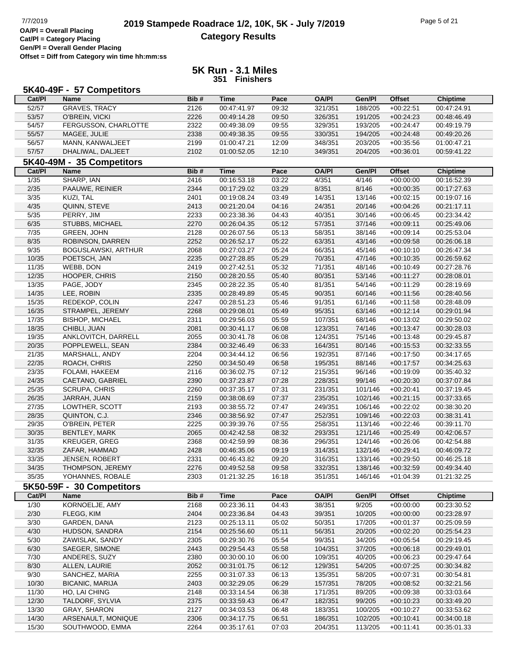## **2019 Stampede Roadrace 1/2, 10K, 5K - July 7/2019** Page 5 of 21<br> **DAPI** = Overall Placing **2019 Stampede Roadrace 1/2, 10K, 5K - July 7/2019 Category Results**

**Cat/Pl = Category Placing Gen/Pl = Overall Gender Placing Offset = Diff from Category win time hh:mm:ss**

|                   | 5K40-49F - 57 Competitors    |              |                            |                |                  |                  |                            |                            |
|-------------------|------------------------------|--------------|----------------------------|----------------|------------------|------------------|----------------------------|----------------------------|
| Cat/PI            | <b>Name</b>                  | Bib#         | <b>Time</b>                | Pace           | <b>OA/PI</b>     | Gen/Pl           | <b>Offset</b>              | <b>Chiptime</b>            |
| 52/57             | <b>GRAVES, TRACY</b>         | 2126         | 00:47:41.97                | 09:32          | 321/351          | 188/205          | $+00:22:51$                | 00:47:24.91                |
| 53/57             | O'BREIN, VICKI               | 2226         | 00:49:14.28                | 09:50          | 326/351          | 191/205          | $+00:24:23$                | 00:48:46.49                |
| 54/57             | FERGUSSON, CHARLOTTE         | 2322         | 00:49:38.09                | 09:55          | 329/351          | 193/205          | $+00:24:47$                | 00:49:19.79                |
| 55/57             | MAGEE, JULIE                 | 2338         | 00:49:38.35                | 09:55          | 330/351          | 194/205          | $+00:24:48$                | 00:49:20.26                |
| 56/57             | MANN, KANWALJEET             | 2199         | 01:00:47.21                | 12:09          | 348/351          | 203/205          | $+00:35:56$                | 01:00:47.21                |
| 57/57             | DHALIWAL, DALJEET            | 2102         | 01:00:52.05                | 12:10          | 349/351          | 204/205          | $+00:36:01$                | 00:59:41.22                |
|                   | 5K40-49M - 35 Competitors    |              |                            |                |                  |                  |                            |                            |
| Cat/PI            | <b>Name</b>                  | Bib#         | <b>Time</b>                | Pace           | <b>OA/PI</b>     | Gen/Pl           | <b>Offset</b>              | <b>Chiptime</b>            |
| 1/35              | SHARP, IAN                   | 2416         | 00:16:53.18                | 03:22          | 4/351            | 4/146            | $+00:00:00$                | 00:16:52.39                |
| 2/35              | PAAUWE, REINIER              | 2344         | 00:17:29.02                | 03:29          | 8/351            | 8/146            | $+00:00:35$                | 00:17:27.63                |
| $\overline{3/35}$ | KUZI, TAL                    | 2401         | 00:19:08.24                | 03:49          | 14/351           | 13/146           | $+00:02:15$                | 00:19:07.16                |
| 4/35              | QUINN, STEVE                 | 2413         | 00:21:20.04                | 04:16          | 24/351           | 20/146           | $+00:04:26$                | 00:21:17.11                |
| $5/35$            | PERRY, JIM                   | 2233         | 00:23:38.36                | 04:43          | 40/351           | 30/146           | $+00:06:45$                | 00:23:34.42                |
| 6/35              | STUBBS, MICHAEL              | 2270         | 00:26:04.35                | 05:12          | 57/351           | 37/146           | $+00:09:11$                | 00:25:49.06                |
| 7/35              | GREEN, JOHN                  | 2128         | 00:26:07.56                | 05:13          | 58/351           | 38/146           | $+00:09:14$                | 00:25:53.04                |
| 8/35              | ROBINSON, DARREN             | 2252         | 00:26:52.17                | 05:22          | 63/351           | 43/146           | $+00:09:58$                | 00:26:06.18                |
| 9/35              | <b>BOGUSLAWSKI, ARTHUR</b>   | 2068         | 00:27:03.27                | 05:24          | 66/351           | 45/146           | $+00:10:10$                | 00:26:47.34                |
| 10/35             | POETSCH, JAN                 | 2235         | 00:27:28.85                | 05:29          | 70/351           | 47/146           | $+00:10:35$                | 00:26:59.62                |
| 11/35             | WEBB, DON                    | 2419         | 00:27:42.51                | 05:32          | 71/351           | 48/146           | $+00:10:49$                | 00:27:28.76                |
| 12/35             | HOOPER, CHRIS                | 2150         | 00:28:20.55                | 05:40          | 80/351           | 53/146           | $+00:11:27$                | 00:28:08.01                |
| 13/35             | PAGE, JODY<br>LEE, ROBIN     | 2345         | 00:28:22.35                | 05:40          | 81/351           | 54/146           | $+00:11:29$<br>$+00:11:56$ | 00:28:19.69                |
| 14/35<br>15/35    | REDEKOP, COLIN               | 2335<br>2247 | 00:28:49.89<br>00:28:51.23 | 05:45<br>05:46 | 90/351<br>91/351 | 60/146<br>61/146 | $+00:11:58$                | 00:28:40.56<br>00:28:48.09 |
| 16/35             | STRAMPEL, JEREMY             | 2268         | 00:29:08.01                | 05:49          | 95/351           | 63/146           | $+00:12:14$                | 00:29:01.94                |
| 17/35             | <b>BISHOP, MICHAEL</b>       | 2311         | 00:29:56.03                | 05:59          | 107/351          | 68/146           | $+00:13:02$                | 00:29:50.02                |
| 18/35             | CHIBLI, JUAN                 | 2081         | 00:30:41.17                | 06:08          | 123/351          | 74/146           | $+00:13:47$                | 00:30:28.03                |
| 19/35             | ANKLOVITCH, DARRELL          | 2055         | 00:30:41.78                | 06:08          | 124/351          | 75/146           | $+00:13:48$                | 00:29:45.87                |
| 20/35             | POPPLEWELL, SEAN             | 2384         | 00:32:46.49                | 06:33          | 164/351          | 80/146           | $+00:15:53$                | 00:32:33.55                |
| 21/35             | MARSHALL, ANDY               | 2204         | 00:34:44.12                | 06:56          | 192/351          | 87/146           | $+00:17:50$                | 00:34:17.65                |
| 22/35             | ROACH, CHRIS                 | 2250         | 00:34:50.49                | 06:58          | 195/351          | 88/146           | $+00:17:57$                | 00:34:25.63                |
| 23/35             | FOLAMI, HAKEEM               | 2116         | 00:36:02.75                | 07:12          | 215/351          | 96/146           | $+00:19:09$                | 00:35:40.32                |
| 24/35             | CAETANO, GABRIEL             | 2390         | 00:37:23.87                | 07:28          | 228/351          | 99/146           | $+00:20:30$                | 00:37:07.84                |
| 25/35             | <b>SCRUPA, CHRIS</b>         | 2260         | 00:37:35.17                | 07:31          | 231/351          | 101/146          | $+00:20:41$                | 00:37:19.45                |
| 26/35             | JARRAH, JUAN                 | 2159         | 00:38:08.69                | 07:37          | 235/351          | 102/146          | $+00:21:15$                | 00:37:33.65                |
| 27/35             | LOWTHER, SCOTT               | 2193         | 00:38:55.72                | 07:47          | 249/351          | 106/146          | $+00:22:02$                | 00:38:30.20                |
| 28/35             | QUINTON, C.J.                | 2346         | 00:38:56.92                | 07:47          | 252/351          | 109/146          | $+00:22:03$                | 00:38:31.41                |
| 29/35             | O'BREIN, PETER               | 2225         | 00:39:39.76                | 07:55          | 258/351          | 113/146          | $+00:22:46$                | 00:39:11.70                |
| 30/35             | <b>BENTLEY, MARK</b>         | 2065         | 00:42:42.58                | 08:32          | 293/351          | 121/146          | $+00:25:49$                | 00:42:06.57                |
| 31/35             | <b>KREUGER, GREG</b>         | 2368         | 00:42:59.99                | 08:36          | 296/351          | 124/146          | $+00:26:06$                | 00:42:54.88                |
| 32/35             | ZAFAR, HAMMAD                | 2428         | 00:46:35.06                | 09:19          | 314/351          | 132/146          | $+00:29:41$                | 00:46:09.72                |
| 33/35             | JENSEN, ROBERT               | 2331         | 00:46:43.82                | 09:20          | 316/351          | 133/146          | $+00:29:50$                | 00:46:25.18                |
| 34/35             | THOMPSON, JEREMY             | 2276         | 00:49:52.58                | 09:58          | 332/351          | 138/146          | $+00:32:59$                | 00:49:34.40                |
| 35/35             | YOHANNES, ROBALE             | 2303         | 01:21:32.25                | 16:18          | 351/351          | 146/146          | $+01:04:39$                | 01:21:32.25                |
|                   | 5K50-59F - 30 Competitors    |              |                            |                |                  |                  |                            |                            |
| Cat/PI            | Name                         | Bib#         | <b>Time</b>                | Pace           | <b>OA/PI</b>     | Gen/Pl           | <b>Offset</b>              | <b>Chiptime</b>            |
| 1/30<br>2/30      | KORNOELJE, AMY<br>FLEGG, KIM | 2168<br>2404 | 00:23:36.11<br>00:23:36.84 | 04:43<br>04:43 | 38/351<br>39/351 | 9/205<br>10/205  | $+00:00:00$<br>$+00:00:00$ | 00:23:30.52<br>00:23:28.97 |
| 3/30              | GARDEN, DANA                 | 2123         | 00:25:13.11                | 05:02          | 50/351           | 17/205           | $+00:01:37$                | 00:25:09.59                |
| 4/30              | HUDSON, SANDRA               | 2154         | 00:25:56.60                | 05:11          | 56/351           | 20/205           | $+00:02:20$                | 00:25:54.23                |
| 5/30              | ZAWISLAK, SANDY              | 2305         | 00:29:30.76                | 05:54          | 99/351           | 34/205           | $+00:05:54$                | 00:29:19.45                |
| 6/30              | SAEGER, SIMONE               | 2443         | 00:29:54.43                | 05:58          | 104/351          | 37/205           | $+00:06:18$                | 00:29:49.01                |
| 7/30              | ANDERES, SUZY                | 2380         | 00:30:00.10                | 06:00          | 109/351          | 40/205           | $+00:06:23$                | 00:29:47.64                |
| 8/30              | ALLEN, LAURIE                | 2052         | 00:31:01.75                | 06:12          | 129/351          | 54/205           | $+00:07:25$                | 00:30:34.82                |
| 9/30              | SANCHEZ, MARIA               | 2255         | 00:31:07.33                | 06:13          | 135/351          | 58/205           | $+00:07:31$                | 00:30:54.81                |
| 10/30             | <b>BICANIC, MARIJA</b>       | 2403         | 00:32:29.05                | 06:29          | 157/351          | 78/205           | $+00:08:52$                | 00:32:21.56                |
| 11/30             | HO, LAI CHING                | 2148         | 00:33:14.54                | 06:38          | 171/351          | 89/205           | $+00:09:38$                | 00:33:03.64                |
| 12/30             | TALDORF, SYLVIA              | 2375         | 00:33:59.43                | 06:47          | 182/351          | 99/205           | $+00:10:23$                | 00:33:49.20                |
| 13/30             | <b>GRAY, SHARON</b>          | 2127         | 00:34:03.53                | 06:48          | 183/351          | 100/205          | $+00:10:27$                | 00:33:53.62                |
| 14/30             | ARSENAULT, MONIQUE           | 2306         | 00:34:17.75                | 06:51          | 186/351          | 102/205          | $+00:10:41$                | 00:34:00.18                |
| 15/30             | SOUTHWOOD, EMMA              | 2264         | 00:35:17.61                | 07:03          | 204/351          | 113/205          | $+00:11:41$                | 00:35:01.33                |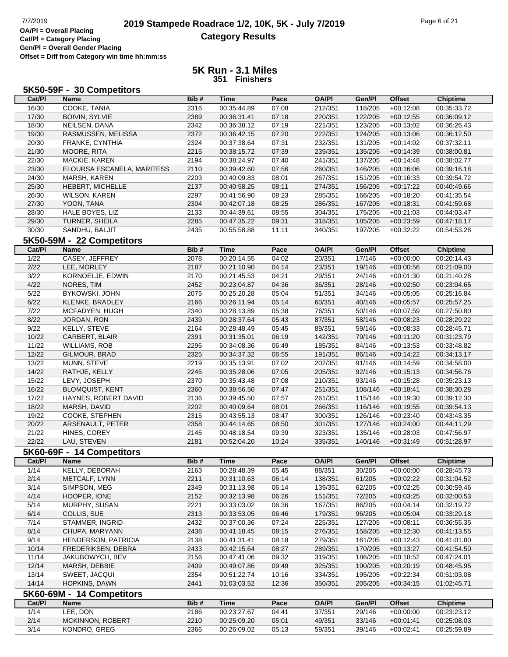## **2019 Stampede Roadrace 1/2, 10K, 5K - July 7/2019** Page 6 of 21<br> **DAPI** = Overall Placing **2019 Stampede Roadrace 1/2, 10K, 5K - July 7/2019 Category Results**

**Cat/Pl = Category Placing Gen/Pl = Overall Gender Placing Offset = Diff from Category win time hh:mm:ss**

| Cat/PI<br><b>Offset</b><br>Bib#<br><b>Time</b><br>Pace<br><b>OA/PI</b><br>Gen/Pl<br><b>Name</b><br><b>Chiptime</b><br>COOKE, TANIA<br>16/30<br>07:08<br>2316<br>00:35:44.89<br>212/351<br>118/205<br>$+00:12:08$<br>00:35:33.72<br>17/30<br><b>BOIVIN, SYLVIE</b><br>2389<br>00:36:31.41<br>07:18<br>220/351<br>122/205<br>$+00:12:55$<br>00:36:09.12<br>18/30<br>NEILSEN, DANA<br>00:36:38.12<br>07:19<br>221/351<br>123/205<br>$+00:13:02$<br>00:36:26.43<br>2342<br>19/30<br>RASMUSSEN, MELISSA<br>2372<br>07:20<br>222/351<br>124/205<br>$+00:13:06$<br>00:36:12.50<br>00:36:42.15<br>20/30<br>FRANKE, CYNTHIA<br>2324<br>00:37:38.64<br>07:31<br>232/351<br>131/205<br>$+00:14:02$<br>00:37:32.11<br>21/30<br>MOORE, RITA<br>2215<br>07:39<br>239/351<br>135/205<br>00:38:15.72<br>$+00:14:39$<br>00:38:00.81<br>22/30<br>2194<br>00:38:24.97<br>07:40<br>241/351<br>137/205<br>$+00:14:48$<br>MACKIE, KAREN<br>00:38:02.77<br>23/30<br>ELOURSA ESCANELA, MARITESS<br>2110<br>07:56<br>146/205<br>$+00:16:06$<br>00:39:42.60<br>260/351<br>00:39:16.18<br>24/30<br>MARSH, KAREN<br>2203<br>00:40:09.83<br>08:01<br>267/351<br>151/205<br>$+00:16:33$<br>00:39:54.72<br>25/30<br>HEBERT, MICHELLE<br>2137<br>08:11<br>274/351<br>156/205<br>$+00:17:22$<br>00:40:58.25<br>00:40:49.66<br>26/30<br>2297<br>08:23<br>285/351<br>166/205<br>$+00:18:20$<br><b>WILSON, KAREN</b><br>00:41:56.90<br>00:41:35.54<br>27/30<br>YOON, TANA<br>2304<br>08:25<br>00:42:07.18<br>286/351<br>167/205<br>$+00:18:31$<br>00:41:59.68<br>28/30<br>HALE BOYES, LIZ<br>2133<br>08:55<br>304/351<br>175/205<br>$+00:21:03$<br>00:44:39.61<br>00:44:03.47<br>29/30<br><b>TURNER, SHEILA</b><br>2285<br>09:31<br>185/205<br>00:47:35.22<br>318/351<br>$+00:23:59$<br>00:47:18.17<br>30/30<br>SANDHU, BALJIT<br>11:11<br>197/205<br>$+00:32:22$<br>2435<br>00:55:58.88<br>340/351<br>00:54:53.28<br>5K50-59M - 22 Competitors<br>Cat/PI<br>Bib#<br>Pace<br><b>OA/PI</b><br>Gen/Pl<br><b>Offset</b><br><b>Chiptime</b><br>Name<br>Time<br>$\frac{1}{22}$<br>CASEY, JEFFREY<br>2078<br>00:20:14.55<br>04:02<br>20/351<br>17/146<br>$+00:00:00$<br>00:20:14.43<br>$2/22$<br>LEE, MORLEY<br>2187<br>00:21:10.90<br>04:14<br>23/351<br>19/146<br>00:21:09.00<br>$+00:00:56$<br>3/22<br>KORNOELJE, EDWIN<br>2170<br>00:21:45.53<br>04:21<br>29/351<br>24/146<br>00:21:40.28<br>$+00:01:30$<br>4/22<br>NORES, TIM<br>2452<br>00:23:04.87<br>04:36<br>36/351<br>28/146<br>$+00:02:50$<br>00:23:04.65<br>$5/22$<br>BYKOWSKI, JOHN<br>2075<br>05:04<br>51/351<br>00:25:20.28<br>34/146<br>$+00:05:05$<br>00:25:16.84<br>6/22<br>2166<br>05:14<br>60/351<br>40/146<br>KLENKE, BRADLEY<br>00:26:11.94<br>$+00:05:57$<br>00:25:57.25<br>7/22<br>2340<br>00:28:13.89<br>05:38<br>76/351<br>50/146<br>00:27:50.80<br>MCFADYEN, HUGH<br>$+00:07:59$<br>8/22<br>05:43<br>87/351<br>58/146<br>JORDAN, RON<br>2439<br>00:28:37.64<br>$+00:08:23$<br>00:28:29.22<br>9/22<br>KELLY, STEVE<br>2164<br>05:45<br>89/351<br>00:28:48.49<br>59/146<br>$+00:08:33$<br>00:28:45.71<br>10/22<br>CARBERT, BLAIR<br>2391<br>00:31:35.01<br>06:19<br>142/351<br>79/146<br>00:31:23.79<br>$+00:11:20$<br>11/22<br>2295<br>06:49<br>185/351<br>84/146<br><b>WILLIAMS, ROB</b><br>00:34:08.36<br>$+00:13:53$<br>00:33:48.82<br>12/22<br>2325<br>06:55<br>191/351<br>86/146<br>GILMOUR, BRAD<br>00:34:37.32<br>$+00:14:22$<br>00:34:13.17<br>13/22<br>2219<br>07:02<br>202/351<br>91/146<br>MUNN, STEVE<br>00:35:13.91<br>$+00:14:59$<br>00:34:58.00<br>14/22<br>2245<br>07:05<br>205/351<br>92/146<br>00:34:56.76<br>RATHJE, KELLY<br>00:35:28.06<br>$+00:15:13$<br>15/22<br>LEVY, JOSEPH<br>2370<br>07:08<br>210/351<br>93/146<br>00:35:23.13<br>00:35:43.48<br>$+00:15:28$<br>16/22<br>2360<br>07:47<br>251/351<br>108/146<br><b>BLOMQUIST, KENT</b><br>00:38:56.50<br>$+00:18:41$<br>00:38:30.28<br>17/22<br>2136<br>07:57<br>261/351<br>HAYNES, ROBERT DAVID<br>00:39:45.50<br>115/146<br>$+00:19:30$<br>00:39:12.30<br>18/22<br>MARSH, DAVID<br>2202<br>08:01<br>266/351<br>116/146<br>00:39:54.13<br>00:40:09.64<br>$+00:19:55$<br>19/22<br>COOKE, STEPHEN<br>2315<br>08:47<br>300/351<br>126/146<br>$+00:23:40$<br>00:43:55.13<br>00:43:43.35<br>20/22<br>2358<br>08:50<br>127/146<br>ARSENAULT, PETER<br>00:44:14.65<br>301/351<br>$+00:24:00$<br>00:44:11.29<br>21/22<br>HINES, COREY<br>135/146<br>2145<br>00:48:18.54<br>09:39<br>323/351<br>$+00:28:03$<br>00:47:56.97<br>22/22<br>2181<br>LAU, STEVEN<br>00:52:04.20<br>10:24<br>335/351<br>140/146<br>$+00:31:49$<br>00:51:28.97<br>5K60-69F - 14 Competitors<br><b>OA/PI</b><br>Gen/Pl<br><b>Offset</b><br>Cat/PI<br>Name<br>Bib#<br><b>Time</b><br>Pace<br><b>Chiptime</b><br>1/14<br>KELLY, DEBORAH<br>2163<br>00:28:48.39<br>05:45<br>88/351<br>30/205<br>00:28:45.73<br>$+00:00:00$<br>2/14<br>06:14<br>138/351<br>61/205<br>METCALF, LYNN<br>2211<br>00:31:10.63<br>$+00:02:22$<br>00:31:04.52<br>3/14<br>SIMPSON, MEG<br>2349<br>00:31:13.98<br>06:14<br>139/351<br>62/205<br>$+00:02:25$<br>00:30:59.46<br>4/14<br>2152<br>06:26<br>151/351<br>72/205<br>HOOPER, IONE<br>00:32:13.98<br>$+00:03:25$<br>00:32:00.53<br>5/14<br>2221<br>06:36<br>MURPHY, SUSAN<br>00:33:03.02<br>167/351<br>86/205<br>$+00:04:14$<br>00:32:19.72<br>6/14<br>COLLIS, SUE<br>2313<br>00:33:53.05<br>06:46<br>179/351<br>96/205<br>$+00:05:04$<br>00:33:29.18<br>7/14<br>2432<br>07:24<br>225/351<br>STAMMER, INGRID<br>00:37:00.36<br>127/205<br>$+00:08:11$<br>00:36:55.35<br>8/14<br>2438<br>08:15<br>276/351<br>158/205<br>CHUPA, MARYANN<br>00:41:18.45<br>$+00:12:30$<br>00:41:13.55<br>9/14<br>2138<br>279/351<br>161/205<br><b>HENDERSON, PATRICIA</b><br>00:41:31.41<br>08:18<br>$+00:12:43$<br>00:41:01.80<br>10/14<br>2433<br>170/205<br>FREDERIKSEN, DEBRA<br>00:42:15.64<br>08:27<br>289/351<br>$+00:13:27$<br>00:41:54.50<br>11/14<br>2156<br>09:32<br>JAKUBOWYCH, BEV<br>00:47:41.06<br>319/351<br>186/205<br>$+00:18:52$<br>00:47:24.01<br>12/14<br>2409<br>325/351<br>MARSH, DEBBIE<br>00:49:07.86<br>09:49<br>190/205<br>$+00:20:19$<br>00:48:45.95<br>13/14<br>SWEET, JACQUI<br>2354<br>00:51:22.74<br>10:16<br>334/351<br>195/205<br>$+00:22:34$<br>00:51:03.08<br>14/14<br>HOPKINS, DAWN<br>2441<br>01:03:03.52<br>12:36<br>350/351<br>205/205<br>$+00:34:15$<br>01:02:45.71<br>5K60-69M - 14 Competitors<br>Bib#<br><b>OA/PI</b><br><b>Offset</b><br>Cat/PI<br>Name<br>Time<br>Pace<br>Gen/Pl<br><b>Chiptime</b><br>1/14<br>LEE, DON<br>00:23:27.67<br>04:41<br>37/351<br>2186<br>29/146<br>$+00:00:00$<br>00:23:23.12<br>2/14<br>MCKINNON, ROBERT<br>2210<br>00:25:09.20<br>05:01<br>49/351<br>33/146<br>00:25:08.03<br>$+00:01:41$<br>$\frac{3}{14}$<br>KONDRO, GREG<br>2366<br>59/351<br>39/146<br>00:25:59.89<br>00:26:09.02<br>05:13<br>$+00:02:41$ | 5K50-59F - 30 Competitors |  |  |  |  |
|----------------------------------------------------------------------------------------------------------------------------------------------------------------------------------------------------------------------------------------------------------------------------------------------------------------------------------------------------------------------------------------------------------------------------------------------------------------------------------------------------------------------------------------------------------------------------------------------------------------------------------------------------------------------------------------------------------------------------------------------------------------------------------------------------------------------------------------------------------------------------------------------------------------------------------------------------------------------------------------------------------------------------------------------------------------------------------------------------------------------------------------------------------------------------------------------------------------------------------------------------------------------------------------------------------------------------------------------------------------------------------------------------------------------------------------------------------------------------------------------------------------------------------------------------------------------------------------------------------------------------------------------------------------------------------------------------------------------------------------------------------------------------------------------------------------------------------------------------------------------------------------------------------------------------------------------------------------------------------------------------------------------------------------------------------------------------------------------------------------------------------------------------------------------------------------------------------------------------------------------------------------------------------------------------------------------------------------------------------------------------------------------------------------------------------------------------------------------------------------------------------------------------------------------------------------------------------------------------------------------------------------------------------------------------------------------------------------------------------------------------------------------------------------------------------------------------------------------------------------------------------------------------------------------------------------------------------------------------------------------------------------------------------------------------------------------------------------------------------------------------------------------------------------------------------------------------------------------------------------------------------------------------------------------------------------------------------------------------------------------------------------------------------------------------------------------------------------------------------------------------------------------------------------------------------------------------------------------------------------------------------------------------------------------------------------------------------------------------------------------------------------------------------------------------------------------------------------------------------------------------------------------------------------------------------------------------------------------------------------------------------------------------------------------------------------------------------------------------------------------------------------------------------------------------------------------------------------------------------------------------------------------------------------------------------------------------------------------------------------------------------------------------------------------------------------------------------------------------------------------------------------------------------------------------------------------------------------------------------------------------------------------------------------------------------------------------------------------------------------------------------------------------------------------------------------------------------------------------------------------------------------------------------------------------------------------------------------------------------------------------------------------------------------------------------------------------------------------------------------------------------------------------------------------------------------------------------------------------------------------------------------------------------------------------------------------------------------------------------------------------------------------------------------------------------------------------------------------------------------------------------------------------------------------------------------------------------------------------------------------------------------------------------------------------------------------------------------------------------------------------------------------------------------------------------------------------------------------------------------------------------------------------------------------------------------------------------------------------------------------------------------------------------------------------------------------------------------------------------------------------------------------------------------------------------------------------------------------------------------------------------------------------------------------------------------------------------------------------------------------------------------------------------------------------------------------------------------------------------------------------------------------------------------------------------------------------------------------------------------------------------------------------------------------------------------------------------------------------------------------------------------------------|---------------------------|--|--|--|--|
|                                                                                                                                                                                                                                                                                                                                                                                                                                                                                                                                                                                                                                                                                                                                                                                                                                                                                                                                                                                                                                                                                                                                                                                                                                                                                                                                                                                                                                                                                                                                                                                                                                                                                                                                                                                                                                                                                                                                                                                                                                                                                                                                                                                                                                                                                                                                                                                                                                                                                                                                                                                                                                                                                                                                                                                                                                                                                                                                                                                                                                                                                                                                                                                                                                                                                                                                                                                                                                                                                                                                                                                                                                                                                                                                                                                                                                                                                                                                                                                                                                                                                                                                                                                                                                                                                                                                                                                                                                                                                                                                                                                                                                                                                                                                                                                                                                                                                                                                                                                                                                                                                                                                                                                                                                                                                                                                                                                                                                                                                                                                                                                                                                                                                                                                                                                                                                                                                                                                                                                                                                                                                                                                                                                                                                                                                                                                                                                                                                                                                                                                                                                                                                                                                                                                                                            |                           |  |  |  |  |
|                                                                                                                                                                                                                                                                                                                                                                                                                                                                                                                                                                                                                                                                                                                                                                                                                                                                                                                                                                                                                                                                                                                                                                                                                                                                                                                                                                                                                                                                                                                                                                                                                                                                                                                                                                                                                                                                                                                                                                                                                                                                                                                                                                                                                                                                                                                                                                                                                                                                                                                                                                                                                                                                                                                                                                                                                                                                                                                                                                                                                                                                                                                                                                                                                                                                                                                                                                                                                                                                                                                                                                                                                                                                                                                                                                                                                                                                                                                                                                                                                                                                                                                                                                                                                                                                                                                                                                                                                                                                                                                                                                                                                                                                                                                                                                                                                                                                                                                                                                                                                                                                                                                                                                                                                                                                                                                                                                                                                                                                                                                                                                                                                                                                                                                                                                                                                                                                                                                                                                                                                                                                                                                                                                                                                                                                                                                                                                                                                                                                                                                                                                                                                                                                                                                                                                            |                           |  |  |  |  |
|                                                                                                                                                                                                                                                                                                                                                                                                                                                                                                                                                                                                                                                                                                                                                                                                                                                                                                                                                                                                                                                                                                                                                                                                                                                                                                                                                                                                                                                                                                                                                                                                                                                                                                                                                                                                                                                                                                                                                                                                                                                                                                                                                                                                                                                                                                                                                                                                                                                                                                                                                                                                                                                                                                                                                                                                                                                                                                                                                                                                                                                                                                                                                                                                                                                                                                                                                                                                                                                                                                                                                                                                                                                                                                                                                                                                                                                                                                                                                                                                                                                                                                                                                                                                                                                                                                                                                                                                                                                                                                                                                                                                                                                                                                                                                                                                                                                                                                                                                                                                                                                                                                                                                                                                                                                                                                                                                                                                                                                                                                                                                                                                                                                                                                                                                                                                                                                                                                                                                                                                                                                                                                                                                                                                                                                                                                                                                                                                                                                                                                                                                                                                                                                                                                                                                                            |                           |  |  |  |  |
|                                                                                                                                                                                                                                                                                                                                                                                                                                                                                                                                                                                                                                                                                                                                                                                                                                                                                                                                                                                                                                                                                                                                                                                                                                                                                                                                                                                                                                                                                                                                                                                                                                                                                                                                                                                                                                                                                                                                                                                                                                                                                                                                                                                                                                                                                                                                                                                                                                                                                                                                                                                                                                                                                                                                                                                                                                                                                                                                                                                                                                                                                                                                                                                                                                                                                                                                                                                                                                                                                                                                                                                                                                                                                                                                                                                                                                                                                                                                                                                                                                                                                                                                                                                                                                                                                                                                                                                                                                                                                                                                                                                                                                                                                                                                                                                                                                                                                                                                                                                                                                                                                                                                                                                                                                                                                                                                                                                                                                                                                                                                                                                                                                                                                                                                                                                                                                                                                                                                                                                                                                                                                                                                                                                                                                                                                                                                                                                                                                                                                                                                                                                                                                                                                                                                                                            |                           |  |  |  |  |
|                                                                                                                                                                                                                                                                                                                                                                                                                                                                                                                                                                                                                                                                                                                                                                                                                                                                                                                                                                                                                                                                                                                                                                                                                                                                                                                                                                                                                                                                                                                                                                                                                                                                                                                                                                                                                                                                                                                                                                                                                                                                                                                                                                                                                                                                                                                                                                                                                                                                                                                                                                                                                                                                                                                                                                                                                                                                                                                                                                                                                                                                                                                                                                                                                                                                                                                                                                                                                                                                                                                                                                                                                                                                                                                                                                                                                                                                                                                                                                                                                                                                                                                                                                                                                                                                                                                                                                                                                                                                                                                                                                                                                                                                                                                                                                                                                                                                                                                                                                                                                                                                                                                                                                                                                                                                                                                                                                                                                                                                                                                                                                                                                                                                                                                                                                                                                                                                                                                                                                                                                                                                                                                                                                                                                                                                                                                                                                                                                                                                                                                                                                                                                                                                                                                                                                            |                           |  |  |  |  |
|                                                                                                                                                                                                                                                                                                                                                                                                                                                                                                                                                                                                                                                                                                                                                                                                                                                                                                                                                                                                                                                                                                                                                                                                                                                                                                                                                                                                                                                                                                                                                                                                                                                                                                                                                                                                                                                                                                                                                                                                                                                                                                                                                                                                                                                                                                                                                                                                                                                                                                                                                                                                                                                                                                                                                                                                                                                                                                                                                                                                                                                                                                                                                                                                                                                                                                                                                                                                                                                                                                                                                                                                                                                                                                                                                                                                                                                                                                                                                                                                                                                                                                                                                                                                                                                                                                                                                                                                                                                                                                                                                                                                                                                                                                                                                                                                                                                                                                                                                                                                                                                                                                                                                                                                                                                                                                                                                                                                                                                                                                                                                                                                                                                                                                                                                                                                                                                                                                                                                                                                                                                                                                                                                                                                                                                                                                                                                                                                                                                                                                                                                                                                                                                                                                                                                                            |                           |  |  |  |  |
|                                                                                                                                                                                                                                                                                                                                                                                                                                                                                                                                                                                                                                                                                                                                                                                                                                                                                                                                                                                                                                                                                                                                                                                                                                                                                                                                                                                                                                                                                                                                                                                                                                                                                                                                                                                                                                                                                                                                                                                                                                                                                                                                                                                                                                                                                                                                                                                                                                                                                                                                                                                                                                                                                                                                                                                                                                                                                                                                                                                                                                                                                                                                                                                                                                                                                                                                                                                                                                                                                                                                                                                                                                                                                                                                                                                                                                                                                                                                                                                                                                                                                                                                                                                                                                                                                                                                                                                                                                                                                                                                                                                                                                                                                                                                                                                                                                                                                                                                                                                                                                                                                                                                                                                                                                                                                                                                                                                                                                                                                                                                                                                                                                                                                                                                                                                                                                                                                                                                                                                                                                                                                                                                                                                                                                                                                                                                                                                                                                                                                                                                                                                                                                                                                                                                                                            |                           |  |  |  |  |
|                                                                                                                                                                                                                                                                                                                                                                                                                                                                                                                                                                                                                                                                                                                                                                                                                                                                                                                                                                                                                                                                                                                                                                                                                                                                                                                                                                                                                                                                                                                                                                                                                                                                                                                                                                                                                                                                                                                                                                                                                                                                                                                                                                                                                                                                                                                                                                                                                                                                                                                                                                                                                                                                                                                                                                                                                                                                                                                                                                                                                                                                                                                                                                                                                                                                                                                                                                                                                                                                                                                                                                                                                                                                                                                                                                                                                                                                                                                                                                                                                                                                                                                                                                                                                                                                                                                                                                                                                                                                                                                                                                                                                                                                                                                                                                                                                                                                                                                                                                                                                                                                                                                                                                                                                                                                                                                                                                                                                                                                                                                                                                                                                                                                                                                                                                                                                                                                                                                                                                                                                                                                                                                                                                                                                                                                                                                                                                                                                                                                                                                                                                                                                                                                                                                                                                            |                           |  |  |  |  |
|                                                                                                                                                                                                                                                                                                                                                                                                                                                                                                                                                                                                                                                                                                                                                                                                                                                                                                                                                                                                                                                                                                                                                                                                                                                                                                                                                                                                                                                                                                                                                                                                                                                                                                                                                                                                                                                                                                                                                                                                                                                                                                                                                                                                                                                                                                                                                                                                                                                                                                                                                                                                                                                                                                                                                                                                                                                                                                                                                                                                                                                                                                                                                                                                                                                                                                                                                                                                                                                                                                                                                                                                                                                                                                                                                                                                                                                                                                                                                                                                                                                                                                                                                                                                                                                                                                                                                                                                                                                                                                                                                                                                                                                                                                                                                                                                                                                                                                                                                                                                                                                                                                                                                                                                                                                                                                                                                                                                                                                                                                                                                                                                                                                                                                                                                                                                                                                                                                                                                                                                                                                                                                                                                                                                                                                                                                                                                                                                                                                                                                                                                                                                                                                                                                                                                                            |                           |  |  |  |  |
|                                                                                                                                                                                                                                                                                                                                                                                                                                                                                                                                                                                                                                                                                                                                                                                                                                                                                                                                                                                                                                                                                                                                                                                                                                                                                                                                                                                                                                                                                                                                                                                                                                                                                                                                                                                                                                                                                                                                                                                                                                                                                                                                                                                                                                                                                                                                                                                                                                                                                                                                                                                                                                                                                                                                                                                                                                                                                                                                                                                                                                                                                                                                                                                                                                                                                                                                                                                                                                                                                                                                                                                                                                                                                                                                                                                                                                                                                                                                                                                                                                                                                                                                                                                                                                                                                                                                                                                                                                                                                                                                                                                                                                                                                                                                                                                                                                                                                                                                                                                                                                                                                                                                                                                                                                                                                                                                                                                                                                                                                                                                                                                                                                                                                                                                                                                                                                                                                                                                                                                                                                                                                                                                                                                                                                                                                                                                                                                                                                                                                                                                                                                                                                                                                                                                                                            |                           |  |  |  |  |
|                                                                                                                                                                                                                                                                                                                                                                                                                                                                                                                                                                                                                                                                                                                                                                                                                                                                                                                                                                                                                                                                                                                                                                                                                                                                                                                                                                                                                                                                                                                                                                                                                                                                                                                                                                                                                                                                                                                                                                                                                                                                                                                                                                                                                                                                                                                                                                                                                                                                                                                                                                                                                                                                                                                                                                                                                                                                                                                                                                                                                                                                                                                                                                                                                                                                                                                                                                                                                                                                                                                                                                                                                                                                                                                                                                                                                                                                                                                                                                                                                                                                                                                                                                                                                                                                                                                                                                                                                                                                                                                                                                                                                                                                                                                                                                                                                                                                                                                                                                                                                                                                                                                                                                                                                                                                                                                                                                                                                                                                                                                                                                                                                                                                                                                                                                                                                                                                                                                                                                                                                                                                                                                                                                                                                                                                                                                                                                                                                                                                                                                                                                                                                                                                                                                                                                            |                           |  |  |  |  |
|                                                                                                                                                                                                                                                                                                                                                                                                                                                                                                                                                                                                                                                                                                                                                                                                                                                                                                                                                                                                                                                                                                                                                                                                                                                                                                                                                                                                                                                                                                                                                                                                                                                                                                                                                                                                                                                                                                                                                                                                                                                                                                                                                                                                                                                                                                                                                                                                                                                                                                                                                                                                                                                                                                                                                                                                                                                                                                                                                                                                                                                                                                                                                                                                                                                                                                                                                                                                                                                                                                                                                                                                                                                                                                                                                                                                                                                                                                                                                                                                                                                                                                                                                                                                                                                                                                                                                                                                                                                                                                                                                                                                                                                                                                                                                                                                                                                                                                                                                                                                                                                                                                                                                                                                                                                                                                                                                                                                                                                                                                                                                                                                                                                                                                                                                                                                                                                                                                                                                                                                                                                                                                                                                                                                                                                                                                                                                                                                                                                                                                                                                                                                                                                                                                                                                                            |                           |  |  |  |  |
|                                                                                                                                                                                                                                                                                                                                                                                                                                                                                                                                                                                                                                                                                                                                                                                                                                                                                                                                                                                                                                                                                                                                                                                                                                                                                                                                                                                                                                                                                                                                                                                                                                                                                                                                                                                                                                                                                                                                                                                                                                                                                                                                                                                                                                                                                                                                                                                                                                                                                                                                                                                                                                                                                                                                                                                                                                                                                                                                                                                                                                                                                                                                                                                                                                                                                                                                                                                                                                                                                                                                                                                                                                                                                                                                                                                                                                                                                                                                                                                                                                                                                                                                                                                                                                                                                                                                                                                                                                                                                                                                                                                                                                                                                                                                                                                                                                                                                                                                                                                                                                                                                                                                                                                                                                                                                                                                                                                                                                                                                                                                                                                                                                                                                                                                                                                                                                                                                                                                                                                                                                                                                                                                                                                                                                                                                                                                                                                                                                                                                                                                                                                                                                                                                                                                                                            |                           |  |  |  |  |
|                                                                                                                                                                                                                                                                                                                                                                                                                                                                                                                                                                                                                                                                                                                                                                                                                                                                                                                                                                                                                                                                                                                                                                                                                                                                                                                                                                                                                                                                                                                                                                                                                                                                                                                                                                                                                                                                                                                                                                                                                                                                                                                                                                                                                                                                                                                                                                                                                                                                                                                                                                                                                                                                                                                                                                                                                                                                                                                                                                                                                                                                                                                                                                                                                                                                                                                                                                                                                                                                                                                                                                                                                                                                                                                                                                                                                                                                                                                                                                                                                                                                                                                                                                                                                                                                                                                                                                                                                                                                                                                                                                                                                                                                                                                                                                                                                                                                                                                                                                                                                                                                                                                                                                                                                                                                                                                                                                                                                                                                                                                                                                                                                                                                                                                                                                                                                                                                                                                                                                                                                                                                                                                                                                                                                                                                                                                                                                                                                                                                                                                                                                                                                                                                                                                                                                            |                           |  |  |  |  |
|                                                                                                                                                                                                                                                                                                                                                                                                                                                                                                                                                                                                                                                                                                                                                                                                                                                                                                                                                                                                                                                                                                                                                                                                                                                                                                                                                                                                                                                                                                                                                                                                                                                                                                                                                                                                                                                                                                                                                                                                                                                                                                                                                                                                                                                                                                                                                                                                                                                                                                                                                                                                                                                                                                                                                                                                                                                                                                                                                                                                                                                                                                                                                                                                                                                                                                                                                                                                                                                                                                                                                                                                                                                                                                                                                                                                                                                                                                                                                                                                                                                                                                                                                                                                                                                                                                                                                                                                                                                                                                                                                                                                                                                                                                                                                                                                                                                                                                                                                                                                                                                                                                                                                                                                                                                                                                                                                                                                                                                                                                                                                                                                                                                                                                                                                                                                                                                                                                                                                                                                                                                                                                                                                                                                                                                                                                                                                                                                                                                                                                                                                                                                                                                                                                                                                                            |                           |  |  |  |  |
|                                                                                                                                                                                                                                                                                                                                                                                                                                                                                                                                                                                                                                                                                                                                                                                                                                                                                                                                                                                                                                                                                                                                                                                                                                                                                                                                                                                                                                                                                                                                                                                                                                                                                                                                                                                                                                                                                                                                                                                                                                                                                                                                                                                                                                                                                                                                                                                                                                                                                                                                                                                                                                                                                                                                                                                                                                                                                                                                                                                                                                                                                                                                                                                                                                                                                                                                                                                                                                                                                                                                                                                                                                                                                                                                                                                                                                                                                                                                                                                                                                                                                                                                                                                                                                                                                                                                                                                                                                                                                                                                                                                                                                                                                                                                                                                                                                                                                                                                                                                                                                                                                                                                                                                                                                                                                                                                                                                                                                                                                                                                                                                                                                                                                                                                                                                                                                                                                                                                                                                                                                                                                                                                                                                                                                                                                                                                                                                                                                                                                                                                                                                                                                                                                                                                                                            |                           |  |  |  |  |
|                                                                                                                                                                                                                                                                                                                                                                                                                                                                                                                                                                                                                                                                                                                                                                                                                                                                                                                                                                                                                                                                                                                                                                                                                                                                                                                                                                                                                                                                                                                                                                                                                                                                                                                                                                                                                                                                                                                                                                                                                                                                                                                                                                                                                                                                                                                                                                                                                                                                                                                                                                                                                                                                                                                                                                                                                                                                                                                                                                                                                                                                                                                                                                                                                                                                                                                                                                                                                                                                                                                                                                                                                                                                                                                                                                                                                                                                                                                                                                                                                                                                                                                                                                                                                                                                                                                                                                                                                                                                                                                                                                                                                                                                                                                                                                                                                                                                                                                                                                                                                                                                                                                                                                                                                                                                                                                                                                                                                                                                                                                                                                                                                                                                                                                                                                                                                                                                                                                                                                                                                                                                                                                                                                                                                                                                                                                                                                                                                                                                                                                                                                                                                                                                                                                                                                            |                           |  |  |  |  |
|                                                                                                                                                                                                                                                                                                                                                                                                                                                                                                                                                                                                                                                                                                                                                                                                                                                                                                                                                                                                                                                                                                                                                                                                                                                                                                                                                                                                                                                                                                                                                                                                                                                                                                                                                                                                                                                                                                                                                                                                                                                                                                                                                                                                                                                                                                                                                                                                                                                                                                                                                                                                                                                                                                                                                                                                                                                                                                                                                                                                                                                                                                                                                                                                                                                                                                                                                                                                                                                                                                                                                                                                                                                                                                                                                                                                                                                                                                                                                                                                                                                                                                                                                                                                                                                                                                                                                                                                                                                                                                                                                                                                                                                                                                                                                                                                                                                                                                                                                                                                                                                                                                                                                                                                                                                                                                                                                                                                                                                                                                                                                                                                                                                                                                                                                                                                                                                                                                                                                                                                                                                                                                                                                                                                                                                                                                                                                                                                                                                                                                                                                                                                                                                                                                                                                                            |                           |  |  |  |  |
|                                                                                                                                                                                                                                                                                                                                                                                                                                                                                                                                                                                                                                                                                                                                                                                                                                                                                                                                                                                                                                                                                                                                                                                                                                                                                                                                                                                                                                                                                                                                                                                                                                                                                                                                                                                                                                                                                                                                                                                                                                                                                                                                                                                                                                                                                                                                                                                                                                                                                                                                                                                                                                                                                                                                                                                                                                                                                                                                                                                                                                                                                                                                                                                                                                                                                                                                                                                                                                                                                                                                                                                                                                                                                                                                                                                                                                                                                                                                                                                                                                                                                                                                                                                                                                                                                                                                                                                                                                                                                                                                                                                                                                                                                                                                                                                                                                                                                                                                                                                                                                                                                                                                                                                                                                                                                                                                                                                                                                                                                                                                                                                                                                                                                                                                                                                                                                                                                                                                                                                                                                                                                                                                                                                                                                                                                                                                                                                                                                                                                                                                                                                                                                                                                                                                                                            |                           |  |  |  |  |
|                                                                                                                                                                                                                                                                                                                                                                                                                                                                                                                                                                                                                                                                                                                                                                                                                                                                                                                                                                                                                                                                                                                                                                                                                                                                                                                                                                                                                                                                                                                                                                                                                                                                                                                                                                                                                                                                                                                                                                                                                                                                                                                                                                                                                                                                                                                                                                                                                                                                                                                                                                                                                                                                                                                                                                                                                                                                                                                                                                                                                                                                                                                                                                                                                                                                                                                                                                                                                                                                                                                                                                                                                                                                                                                                                                                                                                                                                                                                                                                                                                                                                                                                                                                                                                                                                                                                                                                                                                                                                                                                                                                                                                                                                                                                                                                                                                                                                                                                                                                                                                                                                                                                                                                                                                                                                                                                                                                                                                                                                                                                                                                                                                                                                                                                                                                                                                                                                                                                                                                                                                                                                                                                                                                                                                                                                                                                                                                                                                                                                                                                                                                                                                                                                                                                                                            |                           |  |  |  |  |
|                                                                                                                                                                                                                                                                                                                                                                                                                                                                                                                                                                                                                                                                                                                                                                                                                                                                                                                                                                                                                                                                                                                                                                                                                                                                                                                                                                                                                                                                                                                                                                                                                                                                                                                                                                                                                                                                                                                                                                                                                                                                                                                                                                                                                                                                                                                                                                                                                                                                                                                                                                                                                                                                                                                                                                                                                                                                                                                                                                                                                                                                                                                                                                                                                                                                                                                                                                                                                                                                                                                                                                                                                                                                                                                                                                                                                                                                                                                                                                                                                                                                                                                                                                                                                                                                                                                                                                                                                                                                                                                                                                                                                                                                                                                                                                                                                                                                                                                                                                                                                                                                                                                                                                                                                                                                                                                                                                                                                                                                                                                                                                                                                                                                                                                                                                                                                                                                                                                                                                                                                                                                                                                                                                                                                                                                                                                                                                                                                                                                                                                                                                                                                                                                                                                                                                            |                           |  |  |  |  |
|                                                                                                                                                                                                                                                                                                                                                                                                                                                                                                                                                                                                                                                                                                                                                                                                                                                                                                                                                                                                                                                                                                                                                                                                                                                                                                                                                                                                                                                                                                                                                                                                                                                                                                                                                                                                                                                                                                                                                                                                                                                                                                                                                                                                                                                                                                                                                                                                                                                                                                                                                                                                                                                                                                                                                                                                                                                                                                                                                                                                                                                                                                                                                                                                                                                                                                                                                                                                                                                                                                                                                                                                                                                                                                                                                                                                                                                                                                                                                                                                                                                                                                                                                                                                                                                                                                                                                                                                                                                                                                                                                                                                                                                                                                                                                                                                                                                                                                                                                                                                                                                                                                                                                                                                                                                                                                                                                                                                                                                                                                                                                                                                                                                                                                                                                                                                                                                                                                                                                                                                                                                                                                                                                                                                                                                                                                                                                                                                                                                                                                                                                                                                                                                                                                                                                                            |                           |  |  |  |  |
|                                                                                                                                                                                                                                                                                                                                                                                                                                                                                                                                                                                                                                                                                                                                                                                                                                                                                                                                                                                                                                                                                                                                                                                                                                                                                                                                                                                                                                                                                                                                                                                                                                                                                                                                                                                                                                                                                                                                                                                                                                                                                                                                                                                                                                                                                                                                                                                                                                                                                                                                                                                                                                                                                                                                                                                                                                                                                                                                                                                                                                                                                                                                                                                                                                                                                                                                                                                                                                                                                                                                                                                                                                                                                                                                                                                                                                                                                                                                                                                                                                                                                                                                                                                                                                                                                                                                                                                                                                                                                                                                                                                                                                                                                                                                                                                                                                                                                                                                                                                                                                                                                                                                                                                                                                                                                                                                                                                                                                                                                                                                                                                                                                                                                                                                                                                                                                                                                                                                                                                                                                                                                                                                                                                                                                                                                                                                                                                                                                                                                                                                                                                                                                                                                                                                                                            |                           |  |  |  |  |
|                                                                                                                                                                                                                                                                                                                                                                                                                                                                                                                                                                                                                                                                                                                                                                                                                                                                                                                                                                                                                                                                                                                                                                                                                                                                                                                                                                                                                                                                                                                                                                                                                                                                                                                                                                                                                                                                                                                                                                                                                                                                                                                                                                                                                                                                                                                                                                                                                                                                                                                                                                                                                                                                                                                                                                                                                                                                                                                                                                                                                                                                                                                                                                                                                                                                                                                                                                                                                                                                                                                                                                                                                                                                                                                                                                                                                                                                                                                                                                                                                                                                                                                                                                                                                                                                                                                                                                                                                                                                                                                                                                                                                                                                                                                                                                                                                                                                                                                                                                                                                                                                                                                                                                                                                                                                                                                                                                                                                                                                                                                                                                                                                                                                                                                                                                                                                                                                                                                                                                                                                                                                                                                                                                                                                                                                                                                                                                                                                                                                                                                                                                                                                                                                                                                                                                            |                           |  |  |  |  |
|                                                                                                                                                                                                                                                                                                                                                                                                                                                                                                                                                                                                                                                                                                                                                                                                                                                                                                                                                                                                                                                                                                                                                                                                                                                                                                                                                                                                                                                                                                                                                                                                                                                                                                                                                                                                                                                                                                                                                                                                                                                                                                                                                                                                                                                                                                                                                                                                                                                                                                                                                                                                                                                                                                                                                                                                                                                                                                                                                                                                                                                                                                                                                                                                                                                                                                                                                                                                                                                                                                                                                                                                                                                                                                                                                                                                                                                                                                                                                                                                                                                                                                                                                                                                                                                                                                                                                                                                                                                                                                                                                                                                                                                                                                                                                                                                                                                                                                                                                                                                                                                                                                                                                                                                                                                                                                                                                                                                                                                                                                                                                                                                                                                                                                                                                                                                                                                                                                                                                                                                                                                                                                                                                                                                                                                                                                                                                                                                                                                                                                                                                                                                                                                                                                                                                                            |                           |  |  |  |  |
|                                                                                                                                                                                                                                                                                                                                                                                                                                                                                                                                                                                                                                                                                                                                                                                                                                                                                                                                                                                                                                                                                                                                                                                                                                                                                                                                                                                                                                                                                                                                                                                                                                                                                                                                                                                                                                                                                                                                                                                                                                                                                                                                                                                                                                                                                                                                                                                                                                                                                                                                                                                                                                                                                                                                                                                                                                                                                                                                                                                                                                                                                                                                                                                                                                                                                                                                                                                                                                                                                                                                                                                                                                                                                                                                                                                                                                                                                                                                                                                                                                                                                                                                                                                                                                                                                                                                                                                                                                                                                                                                                                                                                                                                                                                                                                                                                                                                                                                                                                                                                                                                                                                                                                                                                                                                                                                                                                                                                                                                                                                                                                                                                                                                                                                                                                                                                                                                                                                                                                                                                                                                                                                                                                                                                                                                                                                                                                                                                                                                                                                                                                                                                                                                                                                                                                            |                           |  |  |  |  |
|                                                                                                                                                                                                                                                                                                                                                                                                                                                                                                                                                                                                                                                                                                                                                                                                                                                                                                                                                                                                                                                                                                                                                                                                                                                                                                                                                                                                                                                                                                                                                                                                                                                                                                                                                                                                                                                                                                                                                                                                                                                                                                                                                                                                                                                                                                                                                                                                                                                                                                                                                                                                                                                                                                                                                                                                                                                                                                                                                                                                                                                                                                                                                                                                                                                                                                                                                                                                                                                                                                                                                                                                                                                                                                                                                                                                                                                                                                                                                                                                                                                                                                                                                                                                                                                                                                                                                                                                                                                                                                                                                                                                                                                                                                                                                                                                                                                                                                                                                                                                                                                                                                                                                                                                                                                                                                                                                                                                                                                                                                                                                                                                                                                                                                                                                                                                                                                                                                                                                                                                                                                                                                                                                                                                                                                                                                                                                                                                                                                                                                                                                                                                                                                                                                                                                                            |                           |  |  |  |  |
|                                                                                                                                                                                                                                                                                                                                                                                                                                                                                                                                                                                                                                                                                                                                                                                                                                                                                                                                                                                                                                                                                                                                                                                                                                                                                                                                                                                                                                                                                                                                                                                                                                                                                                                                                                                                                                                                                                                                                                                                                                                                                                                                                                                                                                                                                                                                                                                                                                                                                                                                                                                                                                                                                                                                                                                                                                                                                                                                                                                                                                                                                                                                                                                                                                                                                                                                                                                                                                                                                                                                                                                                                                                                                                                                                                                                                                                                                                                                                                                                                                                                                                                                                                                                                                                                                                                                                                                                                                                                                                                                                                                                                                                                                                                                                                                                                                                                                                                                                                                                                                                                                                                                                                                                                                                                                                                                                                                                                                                                                                                                                                                                                                                                                                                                                                                                                                                                                                                                                                                                                                                                                                                                                                                                                                                                                                                                                                                                                                                                                                                                                                                                                                                                                                                                                                            |                           |  |  |  |  |
|                                                                                                                                                                                                                                                                                                                                                                                                                                                                                                                                                                                                                                                                                                                                                                                                                                                                                                                                                                                                                                                                                                                                                                                                                                                                                                                                                                                                                                                                                                                                                                                                                                                                                                                                                                                                                                                                                                                                                                                                                                                                                                                                                                                                                                                                                                                                                                                                                                                                                                                                                                                                                                                                                                                                                                                                                                                                                                                                                                                                                                                                                                                                                                                                                                                                                                                                                                                                                                                                                                                                                                                                                                                                                                                                                                                                                                                                                                                                                                                                                                                                                                                                                                                                                                                                                                                                                                                                                                                                                                                                                                                                                                                                                                                                                                                                                                                                                                                                                                                                                                                                                                                                                                                                                                                                                                                                                                                                                                                                                                                                                                                                                                                                                                                                                                                                                                                                                                                                                                                                                                                                                                                                                                                                                                                                                                                                                                                                                                                                                                                                                                                                                                                                                                                                                                            |                           |  |  |  |  |
|                                                                                                                                                                                                                                                                                                                                                                                                                                                                                                                                                                                                                                                                                                                                                                                                                                                                                                                                                                                                                                                                                                                                                                                                                                                                                                                                                                                                                                                                                                                                                                                                                                                                                                                                                                                                                                                                                                                                                                                                                                                                                                                                                                                                                                                                                                                                                                                                                                                                                                                                                                                                                                                                                                                                                                                                                                                                                                                                                                                                                                                                                                                                                                                                                                                                                                                                                                                                                                                                                                                                                                                                                                                                                                                                                                                                                                                                                                                                                                                                                                                                                                                                                                                                                                                                                                                                                                                                                                                                                                                                                                                                                                                                                                                                                                                                                                                                                                                                                                                                                                                                                                                                                                                                                                                                                                                                                                                                                                                                                                                                                                                                                                                                                                                                                                                                                                                                                                                                                                                                                                                                                                                                                                                                                                                                                                                                                                                                                                                                                                                                                                                                                                                                                                                                                                            |                           |  |  |  |  |
|                                                                                                                                                                                                                                                                                                                                                                                                                                                                                                                                                                                                                                                                                                                                                                                                                                                                                                                                                                                                                                                                                                                                                                                                                                                                                                                                                                                                                                                                                                                                                                                                                                                                                                                                                                                                                                                                                                                                                                                                                                                                                                                                                                                                                                                                                                                                                                                                                                                                                                                                                                                                                                                                                                                                                                                                                                                                                                                                                                                                                                                                                                                                                                                                                                                                                                                                                                                                                                                                                                                                                                                                                                                                                                                                                                                                                                                                                                                                                                                                                                                                                                                                                                                                                                                                                                                                                                                                                                                                                                                                                                                                                                                                                                                                                                                                                                                                                                                                                                                                                                                                                                                                                                                                                                                                                                                                                                                                                                                                                                                                                                                                                                                                                                                                                                                                                                                                                                                                                                                                                                                                                                                                                                                                                                                                                                                                                                                                                                                                                                                                                                                                                                                                                                                                                                            |                           |  |  |  |  |
|                                                                                                                                                                                                                                                                                                                                                                                                                                                                                                                                                                                                                                                                                                                                                                                                                                                                                                                                                                                                                                                                                                                                                                                                                                                                                                                                                                                                                                                                                                                                                                                                                                                                                                                                                                                                                                                                                                                                                                                                                                                                                                                                                                                                                                                                                                                                                                                                                                                                                                                                                                                                                                                                                                                                                                                                                                                                                                                                                                                                                                                                                                                                                                                                                                                                                                                                                                                                                                                                                                                                                                                                                                                                                                                                                                                                                                                                                                                                                                                                                                                                                                                                                                                                                                                                                                                                                                                                                                                                                                                                                                                                                                                                                                                                                                                                                                                                                                                                                                                                                                                                                                                                                                                                                                                                                                                                                                                                                                                                                                                                                                                                                                                                                                                                                                                                                                                                                                                                                                                                                                                                                                                                                                                                                                                                                                                                                                                                                                                                                                                                                                                                                                                                                                                                                                            |                           |  |  |  |  |
|                                                                                                                                                                                                                                                                                                                                                                                                                                                                                                                                                                                                                                                                                                                                                                                                                                                                                                                                                                                                                                                                                                                                                                                                                                                                                                                                                                                                                                                                                                                                                                                                                                                                                                                                                                                                                                                                                                                                                                                                                                                                                                                                                                                                                                                                                                                                                                                                                                                                                                                                                                                                                                                                                                                                                                                                                                                                                                                                                                                                                                                                                                                                                                                                                                                                                                                                                                                                                                                                                                                                                                                                                                                                                                                                                                                                                                                                                                                                                                                                                                                                                                                                                                                                                                                                                                                                                                                                                                                                                                                                                                                                                                                                                                                                                                                                                                                                                                                                                                                                                                                                                                                                                                                                                                                                                                                                                                                                                                                                                                                                                                                                                                                                                                                                                                                                                                                                                                                                                                                                                                                                                                                                                                                                                                                                                                                                                                                                                                                                                                                                                                                                                                                                                                                                                                            |                           |  |  |  |  |
|                                                                                                                                                                                                                                                                                                                                                                                                                                                                                                                                                                                                                                                                                                                                                                                                                                                                                                                                                                                                                                                                                                                                                                                                                                                                                                                                                                                                                                                                                                                                                                                                                                                                                                                                                                                                                                                                                                                                                                                                                                                                                                                                                                                                                                                                                                                                                                                                                                                                                                                                                                                                                                                                                                                                                                                                                                                                                                                                                                                                                                                                                                                                                                                                                                                                                                                                                                                                                                                                                                                                                                                                                                                                                                                                                                                                                                                                                                                                                                                                                                                                                                                                                                                                                                                                                                                                                                                                                                                                                                                                                                                                                                                                                                                                                                                                                                                                                                                                                                                                                                                                                                                                                                                                                                                                                                                                                                                                                                                                                                                                                                                                                                                                                                                                                                                                                                                                                                                                                                                                                                                                                                                                                                                                                                                                                                                                                                                                                                                                                                                                                                                                                                                                                                                                                                            |                           |  |  |  |  |
|                                                                                                                                                                                                                                                                                                                                                                                                                                                                                                                                                                                                                                                                                                                                                                                                                                                                                                                                                                                                                                                                                                                                                                                                                                                                                                                                                                                                                                                                                                                                                                                                                                                                                                                                                                                                                                                                                                                                                                                                                                                                                                                                                                                                                                                                                                                                                                                                                                                                                                                                                                                                                                                                                                                                                                                                                                                                                                                                                                                                                                                                                                                                                                                                                                                                                                                                                                                                                                                                                                                                                                                                                                                                                                                                                                                                                                                                                                                                                                                                                                                                                                                                                                                                                                                                                                                                                                                                                                                                                                                                                                                                                                                                                                                                                                                                                                                                                                                                                                                                                                                                                                                                                                                                                                                                                                                                                                                                                                                                                                                                                                                                                                                                                                                                                                                                                                                                                                                                                                                                                                                                                                                                                                                                                                                                                                                                                                                                                                                                                                                                                                                                                                                                                                                                                                            |                           |  |  |  |  |
|                                                                                                                                                                                                                                                                                                                                                                                                                                                                                                                                                                                                                                                                                                                                                                                                                                                                                                                                                                                                                                                                                                                                                                                                                                                                                                                                                                                                                                                                                                                                                                                                                                                                                                                                                                                                                                                                                                                                                                                                                                                                                                                                                                                                                                                                                                                                                                                                                                                                                                                                                                                                                                                                                                                                                                                                                                                                                                                                                                                                                                                                                                                                                                                                                                                                                                                                                                                                                                                                                                                                                                                                                                                                                                                                                                                                                                                                                                                                                                                                                                                                                                                                                                                                                                                                                                                                                                                                                                                                                                                                                                                                                                                                                                                                                                                                                                                                                                                                                                                                                                                                                                                                                                                                                                                                                                                                                                                                                                                                                                                                                                                                                                                                                                                                                                                                                                                                                                                                                                                                                                                                                                                                                                                                                                                                                                                                                                                                                                                                                                                                                                                                                                                                                                                                                                            |                           |  |  |  |  |
|                                                                                                                                                                                                                                                                                                                                                                                                                                                                                                                                                                                                                                                                                                                                                                                                                                                                                                                                                                                                                                                                                                                                                                                                                                                                                                                                                                                                                                                                                                                                                                                                                                                                                                                                                                                                                                                                                                                                                                                                                                                                                                                                                                                                                                                                                                                                                                                                                                                                                                                                                                                                                                                                                                                                                                                                                                                                                                                                                                                                                                                                                                                                                                                                                                                                                                                                                                                                                                                                                                                                                                                                                                                                                                                                                                                                                                                                                                                                                                                                                                                                                                                                                                                                                                                                                                                                                                                                                                                                                                                                                                                                                                                                                                                                                                                                                                                                                                                                                                                                                                                                                                                                                                                                                                                                                                                                                                                                                                                                                                                                                                                                                                                                                                                                                                                                                                                                                                                                                                                                                                                                                                                                                                                                                                                                                                                                                                                                                                                                                                                                                                                                                                                                                                                                                                            |                           |  |  |  |  |
|                                                                                                                                                                                                                                                                                                                                                                                                                                                                                                                                                                                                                                                                                                                                                                                                                                                                                                                                                                                                                                                                                                                                                                                                                                                                                                                                                                                                                                                                                                                                                                                                                                                                                                                                                                                                                                                                                                                                                                                                                                                                                                                                                                                                                                                                                                                                                                                                                                                                                                                                                                                                                                                                                                                                                                                                                                                                                                                                                                                                                                                                                                                                                                                                                                                                                                                                                                                                                                                                                                                                                                                                                                                                                                                                                                                                                                                                                                                                                                                                                                                                                                                                                                                                                                                                                                                                                                                                                                                                                                                                                                                                                                                                                                                                                                                                                                                                                                                                                                                                                                                                                                                                                                                                                                                                                                                                                                                                                                                                                                                                                                                                                                                                                                                                                                                                                                                                                                                                                                                                                                                                                                                                                                                                                                                                                                                                                                                                                                                                                                                                                                                                                                                                                                                                                                            |                           |  |  |  |  |
|                                                                                                                                                                                                                                                                                                                                                                                                                                                                                                                                                                                                                                                                                                                                                                                                                                                                                                                                                                                                                                                                                                                                                                                                                                                                                                                                                                                                                                                                                                                                                                                                                                                                                                                                                                                                                                                                                                                                                                                                                                                                                                                                                                                                                                                                                                                                                                                                                                                                                                                                                                                                                                                                                                                                                                                                                                                                                                                                                                                                                                                                                                                                                                                                                                                                                                                                                                                                                                                                                                                                                                                                                                                                                                                                                                                                                                                                                                                                                                                                                                                                                                                                                                                                                                                                                                                                                                                                                                                                                                                                                                                                                                                                                                                                                                                                                                                                                                                                                                                                                                                                                                                                                                                                                                                                                                                                                                                                                                                                                                                                                                                                                                                                                                                                                                                                                                                                                                                                                                                                                                                                                                                                                                                                                                                                                                                                                                                                                                                                                                                                                                                                                                                                                                                                                                            |                           |  |  |  |  |
|                                                                                                                                                                                                                                                                                                                                                                                                                                                                                                                                                                                                                                                                                                                                                                                                                                                                                                                                                                                                                                                                                                                                                                                                                                                                                                                                                                                                                                                                                                                                                                                                                                                                                                                                                                                                                                                                                                                                                                                                                                                                                                                                                                                                                                                                                                                                                                                                                                                                                                                                                                                                                                                                                                                                                                                                                                                                                                                                                                                                                                                                                                                                                                                                                                                                                                                                                                                                                                                                                                                                                                                                                                                                                                                                                                                                                                                                                                                                                                                                                                                                                                                                                                                                                                                                                                                                                                                                                                                                                                                                                                                                                                                                                                                                                                                                                                                                                                                                                                                                                                                                                                                                                                                                                                                                                                                                                                                                                                                                                                                                                                                                                                                                                                                                                                                                                                                                                                                                                                                                                                                                                                                                                                                                                                                                                                                                                                                                                                                                                                                                                                                                                                                                                                                                                                            |                           |  |  |  |  |
|                                                                                                                                                                                                                                                                                                                                                                                                                                                                                                                                                                                                                                                                                                                                                                                                                                                                                                                                                                                                                                                                                                                                                                                                                                                                                                                                                                                                                                                                                                                                                                                                                                                                                                                                                                                                                                                                                                                                                                                                                                                                                                                                                                                                                                                                                                                                                                                                                                                                                                                                                                                                                                                                                                                                                                                                                                                                                                                                                                                                                                                                                                                                                                                                                                                                                                                                                                                                                                                                                                                                                                                                                                                                                                                                                                                                                                                                                                                                                                                                                                                                                                                                                                                                                                                                                                                                                                                                                                                                                                                                                                                                                                                                                                                                                                                                                                                                                                                                                                                                                                                                                                                                                                                                                                                                                                                                                                                                                                                                                                                                                                                                                                                                                                                                                                                                                                                                                                                                                                                                                                                                                                                                                                                                                                                                                                                                                                                                                                                                                                                                                                                                                                                                                                                                                                            |                           |  |  |  |  |
|                                                                                                                                                                                                                                                                                                                                                                                                                                                                                                                                                                                                                                                                                                                                                                                                                                                                                                                                                                                                                                                                                                                                                                                                                                                                                                                                                                                                                                                                                                                                                                                                                                                                                                                                                                                                                                                                                                                                                                                                                                                                                                                                                                                                                                                                                                                                                                                                                                                                                                                                                                                                                                                                                                                                                                                                                                                                                                                                                                                                                                                                                                                                                                                                                                                                                                                                                                                                                                                                                                                                                                                                                                                                                                                                                                                                                                                                                                                                                                                                                                                                                                                                                                                                                                                                                                                                                                                                                                                                                                                                                                                                                                                                                                                                                                                                                                                                                                                                                                                                                                                                                                                                                                                                                                                                                                                                                                                                                                                                                                                                                                                                                                                                                                                                                                                                                                                                                                                                                                                                                                                                                                                                                                                                                                                                                                                                                                                                                                                                                                                                                                                                                                                                                                                                                                            |                           |  |  |  |  |
|                                                                                                                                                                                                                                                                                                                                                                                                                                                                                                                                                                                                                                                                                                                                                                                                                                                                                                                                                                                                                                                                                                                                                                                                                                                                                                                                                                                                                                                                                                                                                                                                                                                                                                                                                                                                                                                                                                                                                                                                                                                                                                                                                                                                                                                                                                                                                                                                                                                                                                                                                                                                                                                                                                                                                                                                                                                                                                                                                                                                                                                                                                                                                                                                                                                                                                                                                                                                                                                                                                                                                                                                                                                                                                                                                                                                                                                                                                                                                                                                                                                                                                                                                                                                                                                                                                                                                                                                                                                                                                                                                                                                                                                                                                                                                                                                                                                                                                                                                                                                                                                                                                                                                                                                                                                                                                                                                                                                                                                                                                                                                                                                                                                                                                                                                                                                                                                                                                                                                                                                                                                                                                                                                                                                                                                                                                                                                                                                                                                                                                                                                                                                                                                                                                                                                                            |                           |  |  |  |  |
|                                                                                                                                                                                                                                                                                                                                                                                                                                                                                                                                                                                                                                                                                                                                                                                                                                                                                                                                                                                                                                                                                                                                                                                                                                                                                                                                                                                                                                                                                                                                                                                                                                                                                                                                                                                                                                                                                                                                                                                                                                                                                                                                                                                                                                                                                                                                                                                                                                                                                                                                                                                                                                                                                                                                                                                                                                                                                                                                                                                                                                                                                                                                                                                                                                                                                                                                                                                                                                                                                                                                                                                                                                                                                                                                                                                                                                                                                                                                                                                                                                                                                                                                                                                                                                                                                                                                                                                                                                                                                                                                                                                                                                                                                                                                                                                                                                                                                                                                                                                                                                                                                                                                                                                                                                                                                                                                                                                                                                                                                                                                                                                                                                                                                                                                                                                                                                                                                                                                                                                                                                                                                                                                                                                                                                                                                                                                                                                                                                                                                                                                                                                                                                                                                                                                                                            |                           |  |  |  |  |
|                                                                                                                                                                                                                                                                                                                                                                                                                                                                                                                                                                                                                                                                                                                                                                                                                                                                                                                                                                                                                                                                                                                                                                                                                                                                                                                                                                                                                                                                                                                                                                                                                                                                                                                                                                                                                                                                                                                                                                                                                                                                                                                                                                                                                                                                                                                                                                                                                                                                                                                                                                                                                                                                                                                                                                                                                                                                                                                                                                                                                                                                                                                                                                                                                                                                                                                                                                                                                                                                                                                                                                                                                                                                                                                                                                                                                                                                                                                                                                                                                                                                                                                                                                                                                                                                                                                                                                                                                                                                                                                                                                                                                                                                                                                                                                                                                                                                                                                                                                                                                                                                                                                                                                                                                                                                                                                                                                                                                                                                                                                                                                                                                                                                                                                                                                                                                                                                                                                                                                                                                                                                                                                                                                                                                                                                                                                                                                                                                                                                                                                                                                                                                                                                                                                                                                            |                           |  |  |  |  |
|                                                                                                                                                                                                                                                                                                                                                                                                                                                                                                                                                                                                                                                                                                                                                                                                                                                                                                                                                                                                                                                                                                                                                                                                                                                                                                                                                                                                                                                                                                                                                                                                                                                                                                                                                                                                                                                                                                                                                                                                                                                                                                                                                                                                                                                                                                                                                                                                                                                                                                                                                                                                                                                                                                                                                                                                                                                                                                                                                                                                                                                                                                                                                                                                                                                                                                                                                                                                                                                                                                                                                                                                                                                                                                                                                                                                                                                                                                                                                                                                                                                                                                                                                                                                                                                                                                                                                                                                                                                                                                                                                                                                                                                                                                                                                                                                                                                                                                                                                                                                                                                                                                                                                                                                                                                                                                                                                                                                                                                                                                                                                                                                                                                                                                                                                                                                                                                                                                                                                                                                                                                                                                                                                                                                                                                                                                                                                                                                                                                                                                                                                                                                                                                                                                                                                                            |                           |  |  |  |  |
|                                                                                                                                                                                                                                                                                                                                                                                                                                                                                                                                                                                                                                                                                                                                                                                                                                                                                                                                                                                                                                                                                                                                                                                                                                                                                                                                                                                                                                                                                                                                                                                                                                                                                                                                                                                                                                                                                                                                                                                                                                                                                                                                                                                                                                                                                                                                                                                                                                                                                                                                                                                                                                                                                                                                                                                                                                                                                                                                                                                                                                                                                                                                                                                                                                                                                                                                                                                                                                                                                                                                                                                                                                                                                                                                                                                                                                                                                                                                                                                                                                                                                                                                                                                                                                                                                                                                                                                                                                                                                                                                                                                                                                                                                                                                                                                                                                                                                                                                                                                                                                                                                                                                                                                                                                                                                                                                                                                                                                                                                                                                                                                                                                                                                                                                                                                                                                                                                                                                                                                                                                                                                                                                                                                                                                                                                                                                                                                                                                                                                                                                                                                                                                                                                                                                                                            |                           |  |  |  |  |
|                                                                                                                                                                                                                                                                                                                                                                                                                                                                                                                                                                                                                                                                                                                                                                                                                                                                                                                                                                                                                                                                                                                                                                                                                                                                                                                                                                                                                                                                                                                                                                                                                                                                                                                                                                                                                                                                                                                                                                                                                                                                                                                                                                                                                                                                                                                                                                                                                                                                                                                                                                                                                                                                                                                                                                                                                                                                                                                                                                                                                                                                                                                                                                                                                                                                                                                                                                                                                                                                                                                                                                                                                                                                                                                                                                                                                                                                                                                                                                                                                                                                                                                                                                                                                                                                                                                                                                                                                                                                                                                                                                                                                                                                                                                                                                                                                                                                                                                                                                                                                                                                                                                                                                                                                                                                                                                                                                                                                                                                                                                                                                                                                                                                                                                                                                                                                                                                                                                                                                                                                                                                                                                                                                                                                                                                                                                                                                                                                                                                                                                                                                                                                                                                                                                                                                            |                           |  |  |  |  |
|                                                                                                                                                                                                                                                                                                                                                                                                                                                                                                                                                                                                                                                                                                                                                                                                                                                                                                                                                                                                                                                                                                                                                                                                                                                                                                                                                                                                                                                                                                                                                                                                                                                                                                                                                                                                                                                                                                                                                                                                                                                                                                                                                                                                                                                                                                                                                                                                                                                                                                                                                                                                                                                                                                                                                                                                                                                                                                                                                                                                                                                                                                                                                                                                                                                                                                                                                                                                                                                                                                                                                                                                                                                                                                                                                                                                                                                                                                                                                                                                                                                                                                                                                                                                                                                                                                                                                                                                                                                                                                                                                                                                                                                                                                                                                                                                                                                                                                                                                                                                                                                                                                                                                                                                                                                                                                                                                                                                                                                                                                                                                                                                                                                                                                                                                                                                                                                                                                                                                                                                                                                                                                                                                                                                                                                                                                                                                                                                                                                                                                                                                                                                                                                                                                                                                                            |                           |  |  |  |  |
|                                                                                                                                                                                                                                                                                                                                                                                                                                                                                                                                                                                                                                                                                                                                                                                                                                                                                                                                                                                                                                                                                                                                                                                                                                                                                                                                                                                                                                                                                                                                                                                                                                                                                                                                                                                                                                                                                                                                                                                                                                                                                                                                                                                                                                                                                                                                                                                                                                                                                                                                                                                                                                                                                                                                                                                                                                                                                                                                                                                                                                                                                                                                                                                                                                                                                                                                                                                                                                                                                                                                                                                                                                                                                                                                                                                                                                                                                                                                                                                                                                                                                                                                                                                                                                                                                                                                                                                                                                                                                                                                                                                                                                                                                                                                                                                                                                                                                                                                                                                                                                                                                                                                                                                                                                                                                                                                                                                                                                                                                                                                                                                                                                                                                                                                                                                                                                                                                                                                                                                                                                                                                                                                                                                                                                                                                                                                                                                                                                                                                                                                                                                                                                                                                                                                                                            |                           |  |  |  |  |
|                                                                                                                                                                                                                                                                                                                                                                                                                                                                                                                                                                                                                                                                                                                                                                                                                                                                                                                                                                                                                                                                                                                                                                                                                                                                                                                                                                                                                                                                                                                                                                                                                                                                                                                                                                                                                                                                                                                                                                                                                                                                                                                                                                                                                                                                                                                                                                                                                                                                                                                                                                                                                                                                                                                                                                                                                                                                                                                                                                                                                                                                                                                                                                                                                                                                                                                                                                                                                                                                                                                                                                                                                                                                                                                                                                                                                                                                                                                                                                                                                                                                                                                                                                                                                                                                                                                                                                                                                                                                                                                                                                                                                                                                                                                                                                                                                                                                                                                                                                                                                                                                                                                                                                                                                                                                                                                                                                                                                                                                                                                                                                                                                                                                                                                                                                                                                                                                                                                                                                                                                                                                                                                                                                                                                                                                                                                                                                                                                                                                                                                                                                                                                                                                                                                                                                            |                           |  |  |  |  |
|                                                                                                                                                                                                                                                                                                                                                                                                                                                                                                                                                                                                                                                                                                                                                                                                                                                                                                                                                                                                                                                                                                                                                                                                                                                                                                                                                                                                                                                                                                                                                                                                                                                                                                                                                                                                                                                                                                                                                                                                                                                                                                                                                                                                                                                                                                                                                                                                                                                                                                                                                                                                                                                                                                                                                                                                                                                                                                                                                                                                                                                                                                                                                                                                                                                                                                                                                                                                                                                                                                                                                                                                                                                                                                                                                                                                                                                                                                                                                                                                                                                                                                                                                                                                                                                                                                                                                                                                                                                                                                                                                                                                                                                                                                                                                                                                                                                                                                                                                                                                                                                                                                                                                                                                                                                                                                                                                                                                                                                                                                                                                                                                                                                                                                                                                                                                                                                                                                                                                                                                                                                                                                                                                                                                                                                                                                                                                                                                                                                                                                                                                                                                                                                                                                                                                                            |                           |  |  |  |  |
|                                                                                                                                                                                                                                                                                                                                                                                                                                                                                                                                                                                                                                                                                                                                                                                                                                                                                                                                                                                                                                                                                                                                                                                                                                                                                                                                                                                                                                                                                                                                                                                                                                                                                                                                                                                                                                                                                                                                                                                                                                                                                                                                                                                                                                                                                                                                                                                                                                                                                                                                                                                                                                                                                                                                                                                                                                                                                                                                                                                                                                                                                                                                                                                                                                                                                                                                                                                                                                                                                                                                                                                                                                                                                                                                                                                                                                                                                                                                                                                                                                                                                                                                                                                                                                                                                                                                                                                                                                                                                                                                                                                                                                                                                                                                                                                                                                                                                                                                                                                                                                                                                                                                                                                                                                                                                                                                                                                                                                                                                                                                                                                                                                                                                                                                                                                                                                                                                                                                                                                                                                                                                                                                                                                                                                                                                                                                                                                                                                                                                                                                                                                                                                                                                                                                                                            |                           |  |  |  |  |
|                                                                                                                                                                                                                                                                                                                                                                                                                                                                                                                                                                                                                                                                                                                                                                                                                                                                                                                                                                                                                                                                                                                                                                                                                                                                                                                                                                                                                                                                                                                                                                                                                                                                                                                                                                                                                                                                                                                                                                                                                                                                                                                                                                                                                                                                                                                                                                                                                                                                                                                                                                                                                                                                                                                                                                                                                                                                                                                                                                                                                                                                                                                                                                                                                                                                                                                                                                                                                                                                                                                                                                                                                                                                                                                                                                                                                                                                                                                                                                                                                                                                                                                                                                                                                                                                                                                                                                                                                                                                                                                                                                                                                                                                                                                                                                                                                                                                                                                                                                                                                                                                                                                                                                                                                                                                                                                                                                                                                                                                                                                                                                                                                                                                                                                                                                                                                                                                                                                                                                                                                                                                                                                                                                                                                                                                                                                                                                                                                                                                                                                                                                                                                                                                                                                                                                            |                           |  |  |  |  |
|                                                                                                                                                                                                                                                                                                                                                                                                                                                                                                                                                                                                                                                                                                                                                                                                                                                                                                                                                                                                                                                                                                                                                                                                                                                                                                                                                                                                                                                                                                                                                                                                                                                                                                                                                                                                                                                                                                                                                                                                                                                                                                                                                                                                                                                                                                                                                                                                                                                                                                                                                                                                                                                                                                                                                                                                                                                                                                                                                                                                                                                                                                                                                                                                                                                                                                                                                                                                                                                                                                                                                                                                                                                                                                                                                                                                                                                                                                                                                                                                                                                                                                                                                                                                                                                                                                                                                                                                                                                                                                                                                                                                                                                                                                                                                                                                                                                                                                                                                                                                                                                                                                                                                                                                                                                                                                                                                                                                                                                                                                                                                                                                                                                                                                                                                                                                                                                                                                                                                                                                                                                                                                                                                                                                                                                                                                                                                                                                                                                                                                                                                                                                                                                                                                                                                                            |                           |  |  |  |  |
|                                                                                                                                                                                                                                                                                                                                                                                                                                                                                                                                                                                                                                                                                                                                                                                                                                                                                                                                                                                                                                                                                                                                                                                                                                                                                                                                                                                                                                                                                                                                                                                                                                                                                                                                                                                                                                                                                                                                                                                                                                                                                                                                                                                                                                                                                                                                                                                                                                                                                                                                                                                                                                                                                                                                                                                                                                                                                                                                                                                                                                                                                                                                                                                                                                                                                                                                                                                                                                                                                                                                                                                                                                                                                                                                                                                                                                                                                                                                                                                                                                                                                                                                                                                                                                                                                                                                                                                                                                                                                                                                                                                                                                                                                                                                                                                                                                                                                                                                                                                                                                                                                                                                                                                                                                                                                                                                                                                                                                                                                                                                                                                                                                                                                                                                                                                                                                                                                                                                                                                                                                                                                                                                                                                                                                                                                                                                                                                                                                                                                                                                                                                                                                                                                                                                                                            |                           |  |  |  |  |
|                                                                                                                                                                                                                                                                                                                                                                                                                                                                                                                                                                                                                                                                                                                                                                                                                                                                                                                                                                                                                                                                                                                                                                                                                                                                                                                                                                                                                                                                                                                                                                                                                                                                                                                                                                                                                                                                                                                                                                                                                                                                                                                                                                                                                                                                                                                                                                                                                                                                                                                                                                                                                                                                                                                                                                                                                                                                                                                                                                                                                                                                                                                                                                                                                                                                                                                                                                                                                                                                                                                                                                                                                                                                                                                                                                                                                                                                                                                                                                                                                                                                                                                                                                                                                                                                                                                                                                                                                                                                                                                                                                                                                                                                                                                                                                                                                                                                                                                                                                                                                                                                                                                                                                                                                                                                                                                                                                                                                                                                                                                                                                                                                                                                                                                                                                                                                                                                                                                                                                                                                                                                                                                                                                                                                                                                                                                                                                                                                                                                                                                                                                                                                                                                                                                                                                            |                           |  |  |  |  |
|                                                                                                                                                                                                                                                                                                                                                                                                                                                                                                                                                                                                                                                                                                                                                                                                                                                                                                                                                                                                                                                                                                                                                                                                                                                                                                                                                                                                                                                                                                                                                                                                                                                                                                                                                                                                                                                                                                                                                                                                                                                                                                                                                                                                                                                                                                                                                                                                                                                                                                                                                                                                                                                                                                                                                                                                                                                                                                                                                                                                                                                                                                                                                                                                                                                                                                                                                                                                                                                                                                                                                                                                                                                                                                                                                                                                                                                                                                                                                                                                                                                                                                                                                                                                                                                                                                                                                                                                                                                                                                                                                                                                                                                                                                                                                                                                                                                                                                                                                                                                                                                                                                                                                                                                                                                                                                                                                                                                                                                                                                                                                                                                                                                                                                                                                                                                                                                                                                                                                                                                                                                                                                                                                                                                                                                                                                                                                                                                                                                                                                                                                                                                                                                                                                                                                                            |                           |  |  |  |  |
|                                                                                                                                                                                                                                                                                                                                                                                                                                                                                                                                                                                                                                                                                                                                                                                                                                                                                                                                                                                                                                                                                                                                                                                                                                                                                                                                                                                                                                                                                                                                                                                                                                                                                                                                                                                                                                                                                                                                                                                                                                                                                                                                                                                                                                                                                                                                                                                                                                                                                                                                                                                                                                                                                                                                                                                                                                                                                                                                                                                                                                                                                                                                                                                                                                                                                                                                                                                                                                                                                                                                                                                                                                                                                                                                                                                                                                                                                                                                                                                                                                                                                                                                                                                                                                                                                                                                                                                                                                                                                                                                                                                                                                                                                                                                                                                                                                                                                                                                                                                                                                                                                                                                                                                                                                                                                                                                                                                                                                                                                                                                                                                                                                                                                                                                                                                                                                                                                                                                                                                                                                                                                                                                                                                                                                                                                                                                                                                                                                                                                                                                                                                                                                                                                                                                                                            |                           |  |  |  |  |
|                                                                                                                                                                                                                                                                                                                                                                                                                                                                                                                                                                                                                                                                                                                                                                                                                                                                                                                                                                                                                                                                                                                                                                                                                                                                                                                                                                                                                                                                                                                                                                                                                                                                                                                                                                                                                                                                                                                                                                                                                                                                                                                                                                                                                                                                                                                                                                                                                                                                                                                                                                                                                                                                                                                                                                                                                                                                                                                                                                                                                                                                                                                                                                                                                                                                                                                                                                                                                                                                                                                                                                                                                                                                                                                                                                                                                                                                                                                                                                                                                                                                                                                                                                                                                                                                                                                                                                                                                                                                                                                                                                                                                                                                                                                                                                                                                                                                                                                                                                                                                                                                                                                                                                                                                                                                                                                                                                                                                                                                                                                                                                                                                                                                                                                                                                                                                                                                                                                                                                                                                                                                                                                                                                                                                                                                                                                                                                                                                                                                                                                                                                                                                                                                                                                                                                            |                           |  |  |  |  |
|                                                                                                                                                                                                                                                                                                                                                                                                                                                                                                                                                                                                                                                                                                                                                                                                                                                                                                                                                                                                                                                                                                                                                                                                                                                                                                                                                                                                                                                                                                                                                                                                                                                                                                                                                                                                                                                                                                                                                                                                                                                                                                                                                                                                                                                                                                                                                                                                                                                                                                                                                                                                                                                                                                                                                                                                                                                                                                                                                                                                                                                                                                                                                                                                                                                                                                                                                                                                                                                                                                                                                                                                                                                                                                                                                                                                                                                                                                                                                                                                                                                                                                                                                                                                                                                                                                                                                                                                                                                                                                                                                                                                                                                                                                                                                                                                                                                                                                                                                                                                                                                                                                                                                                                                                                                                                                                                                                                                                                                                                                                                                                                                                                                                                                                                                                                                                                                                                                                                                                                                                                                                                                                                                                                                                                                                                                                                                                                                                                                                                                                                                                                                                                                                                                                                                                            |                           |  |  |  |  |